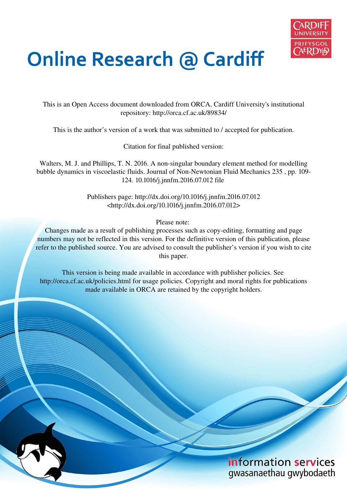

# **Online Research @ Cardiff**

This is an Open Access document downloaded from ORCA, Cardiff University's institutional repository: http://orca.cf.ac.uk/89834/

This is the author's version of a work that was submitted to / accepted for publication.

Citation for final published version:

Walters, M. J. and Phillips, T. N. 2016. A non-singular boundary element method for modelling bubble dynamics in viscoelastic fluids. Journal of Non-Newtonian Fluid Mechanics 235 , pp. 109- 124. 10.1016/j.jnnfm.2016.07.012 file

> Publishers page: http://dx.doi.org/10.1016/j.jnnfm.2016.07.012 <http://dx.doi.org/10.1016/j.jnnfm.2016.07.012>

> > Please note:

Changes made as a result of publishing processes such as copy-editing, formatting and page numbers may not be reflected in this version. For the definitive version of this publication, please refer to the published source. You are advised to consult the publisher's version if you wish to cite this paper.

This version is being made available in accordance with publisher policies. See http://orca.cf.ac.uk/policies.html for usage policies. Copyright and moral rights for publications made available in ORCA are retained by the copyright holders.

# information services gwasanaethau gwybodaeth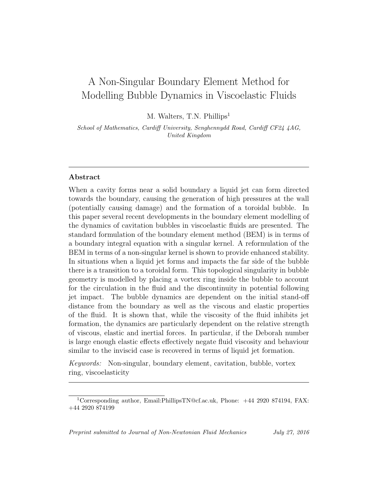# A Non-Singular Boundary Element Method for Modelling Bubble Dynamics in Viscoelastic Fluids

M. Walters, T.N. Phillips<sup>1</sup>

School of Mathematics, Cardiff University, Senghennydd Road, Cardiff CF24 4AG, United Kingdom

## Abstract

When a cavity forms near a solid boundary a liquid jet can form directed towards the boundary, causing the generation of high pressures at the wall (potentially causing damage) and the formation of a toroidal bubble. In this paper several recent developments in the boundary element modelling of the dynamics of cavitation bubbles in viscoelastic fluids are presented. The standard formulation of the boundary element method (BEM) is in terms of a boundary integral equation with a singular kernel. A reformulation of the BEM in terms of a non-singular kernel is shown to provide enhanced stability. In situations when a liquid jet forms and impacts the far side of the bubble there is a transition to a toroidal form. This topological singularity in bubble geometry is modelled by placing a vortex ring inside the bubble to account for the circulation in the fluid and the discontinuity in potential following jet impact. The bubble dynamics are dependent on the initial stand-off distance from the boundary as well as the viscous and elastic properties of the fluid. It is shown that, while the viscosity of the fluid inhibits jet formation, the dynamics are particularly dependent on the relative strength of viscous, elastic and inertial forces. In particular, if the Deborah number is large enough elastic effects effectively negate fluid viscosity and behaviour similar to the inviscid case is recovered in terms of liquid jet formation.

Keywords: Non-singular, boundary element, cavitation, bubble, vortex ring, viscoelasticity

<sup>&</sup>lt;sup>1</sup>Corresponding author, Email:PhillipsTN@cf.ac.uk, Phone:  $+44$  2920 874194, FAX: +44 2920 874199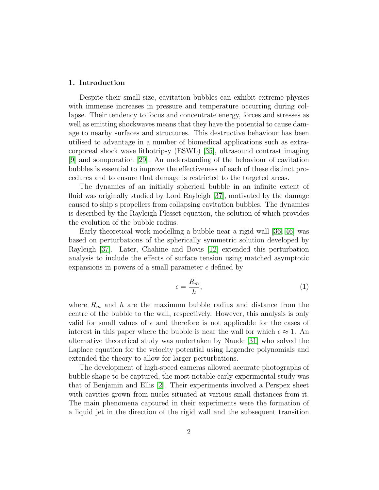#### 1. Introduction

Despite their small size, cavitation bubbles can exhibit extreme physics with immense increases in pressure and temperature occurring during collapse. Their tendency to focus and concentrate energy, forces and stresses as well as emitting shockwaves means that they have the potential to cause damage to nearby surfaces and structures. This destructive behaviour has been utilised to advantage in a number of biomedical applications such as extracorporeal shock wave lithotripsy (ESWL) [\[35\]](#page-47-0), ultrasound contrast imaging [\[9\]](#page-45-0) and sonoporation [\[29\]](#page-46-0). An understanding of the behaviour of cavitation bubbles is essential to improve the effectiveness of each of these distinct procedures and to ensure that damage is restricted to the targeted areas.

The dynamics of an initially spherical bubble in an infinite extent of fluid was originally studied by Lord Rayleigh [\[37\]](#page-47-1), motivated by the damage caused to ship's propellers from collapsing cavitation bubbles. The dynamics is described by the Rayleigh Plesset equation, the solution of which provides the evolution of the bubble radius.

Early theoretical work modelling a bubble near a rigid wall [\[36,](#page-47-2) [46\]](#page-48-0) was based on perturbations of the spherically symmetric solution developed by Rayleigh [\[37\]](#page-47-1). Later, Chahine and Bovis [\[12\]](#page-45-1) extended this perturbation analysis to include the effects of surface tension using matched asymptotic expansions in powers of a small parameter  $\epsilon$  defined by

$$
\epsilon = \frac{R_m}{h},\tag{1}
$$

where  $R_m$  and h are the maximum bubble radius and distance from the centre of the bubble to the wall, respectively. However, this analysis is only valid for small values of  $\epsilon$  and therefore is not applicable for the cases of interest in this paper where the bubble is near the wall for which  $\epsilon \approx 1$ . An alternative theoretical study was undertaken by Naude [\[31\]](#page-46-1) who solved the Laplace equation for the velocity potential using Legendre polynomials and extended the theory to allow for larger perturbations.

The development of high-speed cameras allowed accurate photographs of bubble shape to be captured, the most notable early experimental study was that of Benjamin and Ellis [\[2\]](#page-44-0). Their experiments involved a Perspex sheet with cavities grown from nuclei situated at various small distances from it. The main phenomena captured in their experiments were the formation of a liquid jet in the direction of the rigid wall and the subsequent transition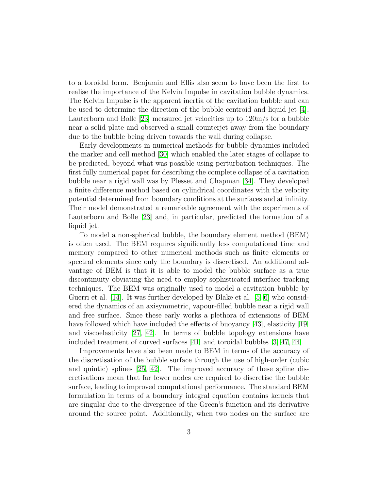to a toroidal form. Benjamin and Ellis also seem to have been the first to realise the importance of the Kelvin Impulse in cavitation bubble dynamics. The Kelvin Impulse is the apparent inertia of the cavitation bubble and can be used to determine the direction of the bubble centroid and liquid jet [\[4\]](#page-44-1). Lauterborn and Bolle [\[23\]](#page-46-2) measured jet velocities up to 120m/s for a bubble near a solid plate and observed a small counterjet away from the boundary due to the bubble being driven towards the wall during collapse.

Early developments in numerical methods for bubble dynamics included the marker and cell method [\[30\]](#page-46-3) which enabled the later stages of collapse to be predicted, beyond what was possible using perturbation techniques. The first fully numerical paper for describing the complete collapse of a cavitation bubble near a rigid wall was by Plesset and Chapman [\[34\]](#page-47-3). They developed a finite difference method based on cylindrical coordinates with the velocity potential determined from boundary conditions at the surfaces and at infinity. Their model demonstrated a remarkable agreement with the experiments of Lauterborn and Bolle [\[23\]](#page-46-2) and, in particular, predicted the formation of a liquid jet.

To model a non-spherical bubble, the boundary element method (BEM) is often used. The BEM requires significantly less computational time and memory compared to other numerical methods such as finite elements or spectral elements since only the boundary is discretised. An additional advantage of BEM is that it is able to model the bubble surface as a true discontinuity obviating the need to employ sophisticated interface tracking techniques. The BEM was originally used to model a cavitation bubble by Guerri et al. [\[14\]](#page-45-2). It was further developed by Blake et al. [\[5,](#page-44-2) [6\]](#page-44-3) who considered the dynamics of an axisymmetric, vapour-filled bubble near a rigid wall and free surface. Since these early works a plethora of extensions of BEM have followed which have included the effects of buoyancy [\[43\]](#page-47-4), elasticity [\[19\]](#page-45-3) and viscoelasticity [\[27,](#page-46-4) [42\]](#page-47-5). In terms of bubble topology extensions have included treatment of curved surfaces [\[41\]](#page-47-6) and toroidal bubbles [\[3,](#page-44-4) [47,](#page-48-1) [44\]](#page-48-2).

Improvements have also been made to BEM in terms of the accuracy of the discretisation of the bubble surface through the use of high-order (cubic and quintic) splines [\[25,](#page-46-5) [42\]](#page-47-5). The improved accuracy of these spline discretisations mean that far fewer nodes are required to discretise the bubble surface, leading to improved computational performance. The standard BEM formulation in terms of a boundary integral equation contains kernels that are singular due to the divergence of the Green's function and its derivative around the source point. Additionally, when two nodes on the surface are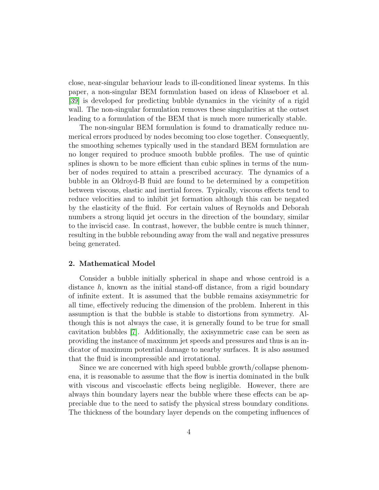close, near-singular behaviour leads to ill-conditioned linear systems. In this paper, a non-singular BEM formulation based on ideas of Klaseboer et al. [\[39\]](#page-47-7) is developed for predicting bubble dynamics in the vicinity of a rigid wall. The non-singular formulation removes these singularities at the outset leading to a formulation of the BEM that is much more numerically stable.

The non-singular BEM formulation is found to dramatically reduce numerical errors produced by nodes becoming too close together. Consequently, the smoothing schemes typically used in the standard BEM formulation are no longer required to produce smooth bubble profiles. The use of quintic splines is shown to be more efficient than cubic splines in terms of the number of nodes required to attain a prescribed accuracy. The dynamics of a bubble in an Oldroyd-B fluid are found to be determined by a competition between viscous, elastic and inertial forces. Typically, viscous effects tend to reduce velocities and to inhibit jet formation although this can be negated by the elasticity of the fluid. For certain values of Reynolds and Deborah numbers a strong liquid jet occurs in the direction of the boundary, similar to the inviscid case. In contrast, however, the bubble centre is much thinner, resulting in the bubble rebounding away from the wall and negative pressures being generated.

#### 2. Mathematical Model

Consider a bubble initially spherical in shape and whose centroid is a distance  $h$ , known as the initial stand-off distance, from a rigid boundary of infinite extent. It is assumed that the bubble remains axisymmetric for all time, effectively reducing the dimension of the problem. Inherent in this assumption is that the bubble is stable to distortions from symmetry. Although this is not always the case, it is generally found to be true for small cavitation bubbles [\[7\]](#page-44-5). Additionally, the axisymmetric case can be seen as providing the instance of maximum jet speeds and pressures and thus is an indicator of maximum potential damage to nearby surfaces. It is also assumed that the fluid is incompressible and irrotational.

Since we are concerned with high speed bubble growth/collapse phenomena, it is reasonable to assume that the flow is inertia dominated in the bulk with viscous and viscoelastic effects being negligible. However, there are always thin boundary layers near the bubble where these effects can be appreciable due to the need to satisfy the physical stress boundary conditions. The thickness of the boundary layer depends on the competing influences of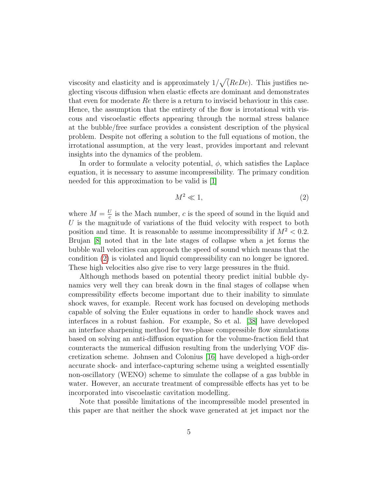viscosity and elasticity and is approximately  $1/\sqrt{(ReDe)}$ . This justifies neglecting viscous diffusion when elastic effects are dominant and demonstrates that even for moderate  $Re$  there is a return to inviscid behaviour in this case. Hence, the assumption that the entirety of the flow is irrotational with viscous and viscoelastic effects appearing through the normal stress balance at the bubble/free surface provides a consistent description of the physical problem. Despite not offering a solution to the full equations of motion, the irrotational assumption, at the very least, provides important and relevant insights into the dynamics of the problem.

In order to formulate a velocity potential,  $\phi$ , which satisfies the Laplace equation, it is necessary to assume incompressibility. The primary condition needed for this approximation to be valid is [\[1\]](#page-44-6)

<span id="page-5-0"></span>
$$
M^2 \ll 1,\tag{2}
$$

where  $M = \frac{U}{c}$  $\frac{U}{c}$  is the Mach number, c is the speed of sound in the liquid and  $U$  is the magnitude of variations of the fluid velocity with respect to both position and time. It is reasonable to assume incompressibility if  $M^2 < 0.2$ . Brujan [\[8\]](#page-44-7) noted that in the late stages of collapse when a jet forms the bubble wall velocities can approach the speed of sound which means that the condition [\(2\)](#page-5-0) is violated and liquid compressibility can no longer be ignored. These high velocities also give rise to very large pressures in the fluid.

Although methods based on potential theory predict initial bubble dynamics very well they can break down in the final stages of collapse when compressibility effects become important due to their inability to simulate shock waves, for example. Recent work has focused on developing methods capable of solving the Euler equations in order to handle shock waves and interfaces in a robust fashion. For example, So et al. [\[38\]](#page-47-8) have developed an interface sharpening method for two-phase compressible flow simulations based on solving an anti-diffusion equation for the volume-fraction field that counteracts the numerical diffusion resulting from the underlying VOF discretization scheme. Johnsen and Colonius [\[16\]](#page-45-4) have developed a high-order accurate shock- and interface-capturing scheme using a weighted essentially non-oscillatory (WENO) scheme to simulate the collapse of a gas bubble in water. However, an accurate treatment of compressible effects has yet to be incorporated into viscoelastic cavitation modelling.

Note that possible limitations of the incompressible model presented in this paper are that neither the shock wave generated at jet impact nor the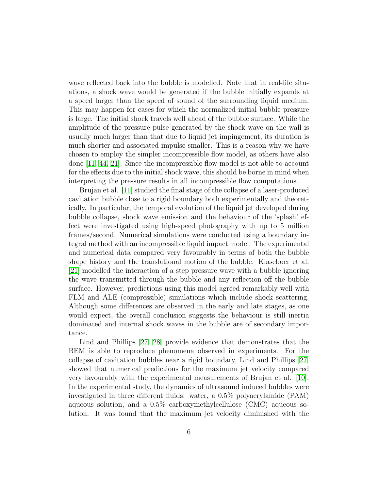wave reflected back into the bubble is modelled. Note that in real-life situations, a shock wave would be generated if the bubble initially expands at a speed larger than the speed of sound of the surrounding liquid medium. This may happen for cases for which the normalized initial bubble pressure is large. The initial shock travels well ahead of the bubble surface. While the amplitude of the pressure pulse generated by the shock wave on the wall is usually much larger than that due to liquid jet impingement, its duration is much shorter and associated impulse smaller. This is a reason why we have chosen to employ the simpler incompressible flow model, as others have also done [\[11,](#page-45-5) [44,](#page-48-2) [21\]](#page-46-6). Since the incompressible flow model is not able to account for the effects due to the initial shock wave, this should be borne in mind when interpreting the pressure results in all incompressible flow computations.

Brujan et al. [\[11\]](#page-45-5) studied the final stage of the collapse of a laser-produced cavitation bubble close to a rigid boundary both experimentally and theoretically. In particular, the temporal evolution of the liquid jet developed during bubble collapse, shock wave emission and the behaviour of the 'splash' effect were investigated using high-speed photography with up to 5 million frames/second. Numerical simulations were conducted using a boundary integral method with an incompressible liquid impact model. The experimental and numerical data compared very favourably in terms of both the bubble shape history and the translational motion of the bubble. Klaseboer et al. [\[21\]](#page-46-6) modelled the interaction of a step pressure wave with a bubble ignoring the wave transmitted through the bubble and any reflection off the bubble surface. However, predictions using this model agreed remarkably well with FLM and ALE (compressible) simulations which include shock scattering. Although some differences are observed in the early and late stages, as one would expect, the overall conclusion suggests the behaviour is still inertia dominated and internal shock waves in the bubble are of secondary importance.

Lind and Phillips [\[27,](#page-46-4) [28\]](#page-46-7) provide evidence that demonstrates that the BEM is able to reproduce phenomena observed in experiments. For the collapse of cavitation bubbles near a rigid boundary, Lind and Phillips [\[27\]](#page-46-4) showed that numerical predictions for the maximum jet velocity compared very favourably with the experimental measurements of Brujan et al. [\[10\]](#page-45-6). In the experimental study, the dynamics of ultrasound induced bubbles were investigated in three different fluids: water, a 0.5% polyacrylamide (PAM) aqueous solution, and a 0.5% carboxymethylcellulose (CMC) aqueous solution. It was found that the maximum jet velocity diminished with the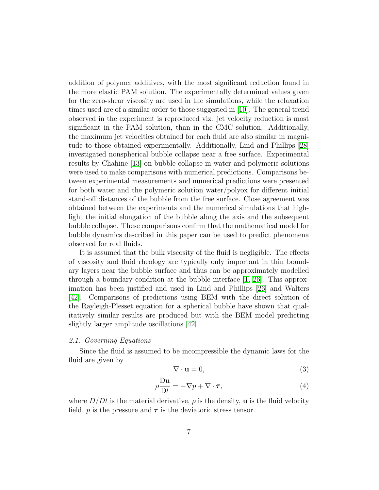addition of polymer additives, with the most significant reduction found in the more elastic PAM solution. The experimentally determined values given for the zero-shear viscosity are used in the simulations, while the relaxation times used are of a similar order to those suggested in [\[10\]](#page-45-6). The general trend observed in the experiment is reproduced viz. jet velocity reduction is most significant in the PAM solution, than in the CMC solution. Additionally, the maximum jet velocities obtained for each fluid are also similar in magnitude to those obtained experimentally. Additionally, Lind and Phillips [\[28\]](#page-46-7) investigated nonspherical bubble collapse near a free surface. Experimental results by Chahine [\[13\]](#page-45-7) on bubble collapse in water and polymeric solutions were used to make comparisons with numerical predictions. Comparisons between experimental measurements and numerical predictions were presented for both water and the polymeric solution water/polyox for different initial stand-off distances of the bubble from the free surface. Close agreement was obtained between the experiments and the numerical simulations that highlight the initial elongation of the bubble along the axis and the subsequent bubble collapse. These comparisons confirm that the mathematical model for bubble dynamics described in this paper can be used to predict phenomena observed for real fluids.

It is assumed that the bulk viscosity of the fluid is negligible. The effects of viscosity and fluid rheology are typically only important in thin boundary layers near the bubble surface and thus can be approximately modelled through a boundary condition at the bubble interface [\[1,](#page-44-6) [26\]](#page-46-8). This approximation has been justified and used in Lind and Phillips [\[26\]](#page-46-8) and Walters [\[42\]](#page-47-5). Comparisons of predictions using BEM with the direct solution of the Rayleigh-Plesset equation for a spherical bubble have shown that qualitatively similar results are produced but with the BEM model predicting slightly larger amplitude oscillations [\[42\]](#page-47-5).

#### 2.1. Governing Equations

Since the fluid is assumed to be incompressible the dynamic laws for the fluid are given by

$$
\nabla \cdot \mathbf{u} = 0,\tag{3}
$$

<span id="page-7-0"></span>
$$
\rho \frac{\mathrm{D} \mathbf{u}}{\mathrm{D} t} = -\nabla p + \nabla \cdot \boldsymbol{\tau},\tag{4}
$$

where  $D/Dt$  is the material derivative,  $\rho$  is the density, **u** is the fluid velocity field, p is the pressure and  $\tau$  is the deviatoric stress tensor.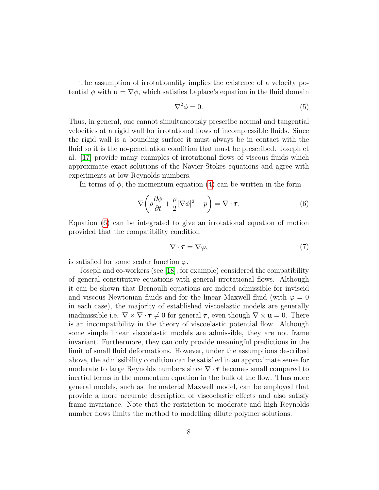The assumption of irrotationality implies the existence of a velocity potential  $\phi$  with  $\mathbf{u} = \nabla \phi$ , which satisfies Laplace's equation in the fluid domain

$$
\nabla^2 \phi = 0. \tag{5}
$$

Thus, in general, one cannot simultaneously prescribe normal and tangential velocities at a rigid wall for irrotational flows of incompressible fluids. Since the rigid wall is a bounding surface it must always be in contact with the fluid so it is the no-penetration condition that must be prescribed. Joseph et al. [\[17\]](#page-45-8) provide many examples of irrotational flows of viscous fluids which approximate exact solutions of the Navier-Stokes equations and agree with experiments at low Reynolds numbers.

In terms of  $\phi$ , the momentum equation [\(4\)](#page-7-0) can be written in the form

<span id="page-8-0"></span>
$$
\nabla \left( \rho \frac{\partial \phi}{\partial t} + \frac{\rho}{2} |\nabla \phi|^2 + p \right) = \nabla \cdot \boldsymbol{\tau}.
$$
 (6)

Equation [\(6\)](#page-8-0) can be integrated to give an irrotational equation of motion provided that the compatibility condition

<span id="page-8-1"></span>
$$
\nabla \cdot \boldsymbol{\tau} = \nabla \varphi, \tag{7}
$$

is satisfied for some scalar function  $\varphi$ .

Joseph and co-workers (see [\[18\]](#page-45-9), for example) considered the compatibility of general constitutive equations with general irrotational flows. Although it can be shown that Bernoulli equations are indeed admissible for inviscid and viscous Newtonian fluids and for the linear Maxwell fluid (with  $\varphi = 0$ in each case), the majority of established viscoelastic models are generally inadmissible i.e.  $\nabla \times \nabla \cdot \tau \neq 0$  for general  $\tau$ , even though  $\nabla \times \mathbf{u} = 0$ . There is an incompatibility in the theory of viscoelastic potential flow. Although some simple linear viscoelastic models are admissible, they are not frame invariant. Furthermore, they can only provide meaningful predictions in the limit of small fluid deformations. However, under the assumptions described above, the admissibility condition can be satisfied in an approximate sense for moderate to large Reynolds numbers since  $\nabla \cdot \tau$  becomes small compared to inertial terms in the momentum equation in the bulk of the flow. Thus more general models, such as the material Maxwell model, can be employed that provide a more accurate description of viscoelastic effects and also satisfy frame invariance. Note that the restriction to moderate and high Reynolds number flows limits the method to modelling dilute polymer solutions.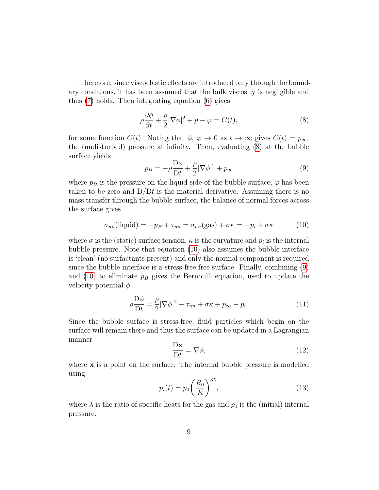Therefore, since viscoelastic effects are introduced only through the boundary conditions, it has been assumed that the bulk viscosity is negligible and thus [\(7\)](#page-8-1) holds. Then integrating equation [\(6\)](#page-8-0) gives

<span id="page-9-0"></span>
$$
\rho \frac{\partial \phi}{\partial t} + \frac{\rho}{2} |\nabla \phi|^2 + p - \varphi = C(t),\tag{8}
$$

for some function  $C(t)$ . Noting that  $\phi$ ,  $\varphi \to 0$  as  $t \to \infty$  gives  $C(t) = p_{\infty}$ , the (undisturbed) pressure at infinity. Then, evaluating [\(8\)](#page-9-0) at the bubble surface yields

<span id="page-9-2"></span>
$$
p_B = -\rho \frac{\mathcal{D}\phi}{\mathcal{D}t} + \frac{\rho}{2} |\nabla \phi|^2 + p_{\infty} \tag{9}
$$

where  $p_B$  is the pressure on the liquid side of the bubble surface,  $\varphi$  has been taken to be zero and  $D/Dt$  is the material derivative. Assuming there is no mass transfer through the bubble surface, the balance of normal forces across the surface gives

<span id="page-9-1"></span>
$$
\sigma_{nn}(\text{liquid}) = -p_B + \tau_{nn} = \sigma_{nn}(\text{gas}) + \sigma \kappa = -p_i + \sigma \kappa \tag{10}
$$

where  $\sigma$  is the (static) surface tension,  $\kappa$  is the curvature and  $p_i$  is the internal bubble pressure. Note that equation [\(10\)](#page-9-1) also assumes the bubble interface is 'clean' (no surfactants present) and only the normal component is required since the bubble interface is a stress-free free surface. Finally, combining [\(9\)](#page-9-2) and [\(10\)](#page-9-1) to eliminate  $p_B$  gives the Bernoulli equation, used to update the velocity potential  $\phi$ 

<span id="page-9-3"></span>
$$
\rho \frac{\mathcal{D}\phi}{\mathcal{D}t} = \frac{\rho}{2} |\nabla \phi|^2 - \tau_{nn} + \sigma \kappa + p_{\infty} - p_i.
$$
 (11)

Since the bubble surface is stress-free, fluid particles which begin on the surface will remain there and thus the surface can be updated in a Lagrangian manner

$$
\frac{\mathbf{D}\mathbf{x}}{\mathbf{D}t} = \nabla\phi,\tag{12}
$$

where **x** is a point on the surface. The internal bubble pressure is modelled using

$$
p_i(t) = p_0 \left(\frac{R_0}{R}\right)^{3\lambda},\tag{13}
$$

where  $\lambda$  is the ratio of specific heats for the gas and  $p_0$  is the (initial) internal pressure.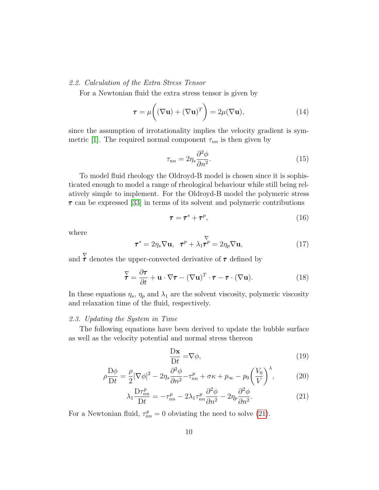#### 2.2. Calculation of the Extra Stress Tensor

For a Newtonian fluid the extra stress tensor is given by

$$
\tau = \mu\bigg((\nabla \mathbf{u}) + (\nabla \mathbf{u})^T\bigg) = 2\mu(\nabla \mathbf{u}),\tag{14}
$$

since the assumption of irrotationality implies the velocity gradient is sym-metric [\[1\]](#page-44-6). The required normal component  $\tau_{nn}$  is then given by

$$
\tau_{nn} = 2\eta_s \frac{\partial^2 \phi}{\partial n^2}.
$$
\n(15)

To model fluid rheology the Oldroyd-B model is chosen since it is sophisticated enough to model a range of rheological behaviour while still being relatively simple to implement. For the Oldroyd-B model the polymeric stress  $\tau$  can be expressed [\[33\]](#page-47-9) in terms of its solvent and polymeric contributions

$$
\tau = \tau^s + \tau^p, \tag{16}
$$

where

$$
\boldsymbol{\tau}^s = 2\eta_s \nabla \mathbf{u}, \quad \boldsymbol{\tau}^p + \lambda_1 \boldsymbol{\tau}^p = 2\eta_p \nabla \mathbf{u}, \tag{17}
$$

and  $\sum_{\alpha=1}^{\infty}$  denotes the upper-convected derivative of  $\tau$  defined by

$$
\overline{\mathbf{\tau}} = \frac{\partial \mathbf{\tau}}{\partial t} + \mathbf{u} \cdot \nabla \mathbf{\tau} - (\nabla \mathbf{u})^T \cdot \mathbf{\tau} - \mathbf{\tau} \cdot (\nabla \mathbf{u}). \tag{18}
$$

In these equations  $\eta_s$ ,  $\eta_p$  and  $\lambda_1$  are the solvent viscosity, polymeric viscosity and relaxation time of the fluid, respectively.

#### 2.3. Updating the System in Time

The following equations have been derived to update the bubble surface as well as the velocity potential and normal stress thereon

<span id="page-10-1"></span><span id="page-10-0"></span>
$$
\frac{\mathbf{D}\mathbf{x}}{\mathbf{D}t} = \nabla\phi,\tag{19}
$$

$$
\rho \frac{\mathcal{D}\phi}{\mathcal{D}t} = \frac{\rho}{2} |\nabla \phi|^2 - 2\eta_s \frac{\partial^2 \phi}{\partial n^2} - \tau_{nn}^p + \sigma \kappa + p_\infty - p_0 \left(\frac{V_0}{V}\right)^{\lambda},\tag{20}
$$

$$
\lambda_1 \frac{\mathcal{D}\tau_{nn}^p}{\mathcal{D}t} = -\tau_{nn}^p - 2\lambda_1 \tau_{nn}^p \frac{\partial^2 \phi}{\partial n^2} - 2\eta_p \frac{\partial^2 \phi}{\partial n^2}.
$$
 (21)

For a Newtonian fluid,  $\tau_{nn}^p = 0$  obviating the need to solve [\(21\)](#page-10-0).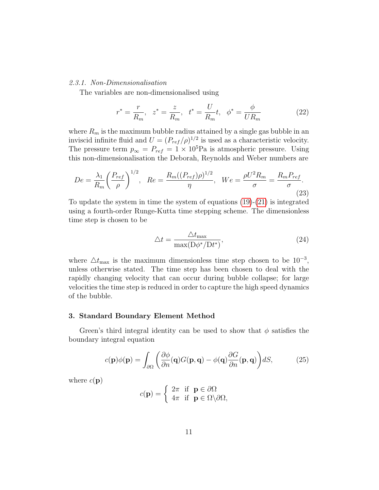#### 2.3.1. Non-Dimensionalisation

The variables are non-dimensionalised using

<span id="page-11-1"></span>
$$
r^* = \frac{r}{R_m}
$$
,  $z^* = \frac{z}{R_m}$ ,  $t^* = \frac{U}{R_m}t$ ,  $\phi^* = \frac{\phi}{UR_m}$  (22)

where  $R_m$  is the maximum bubble radius attained by a single gas bubble in an inviscid infinite fluid and  $U = (P_{ref}/\rho)^{1/2}$  is used as a characteristic velocity. The pressure term  $p_{\infty} = P_{ref} = 1 \times 10^5$ Pa is atmospheric pressure. Using this non-dimensionalisation the Deborah, Reynolds and Weber numbers are

$$
De = \frac{\lambda_1}{R_m} \left(\frac{P_{ref}}{\rho}\right)^{1/2}, \ \ Re = \frac{R_m((P_{ref})\rho)^{1/2}}{\eta}, \ \ We = \frac{\rho U^2 R_m}{\sigma} = \frac{R_m P_{ref}}{\sigma}.
$$
\n(23)

To update the system in time the system of equations [\(19\)](#page-10-1)-[\(21\)](#page-10-0) is integrated using a fourth-order Runge-Kutta time stepping scheme. The dimensionless time step is chosen to be

$$
\Delta t = \frac{\Delta t_{\text{max}}}{\text{max}(D\phi^*/Dt^*)},\tag{24}
$$

where  $\Delta t_{\text{max}}$  is the maximum dimensionless time step chosen to be  $10^{-3}$ , unless otherwise stated. The time step has been chosen to deal with the rapidly changing velocity that can occur during bubble collapse; for large velocities the time step is reduced in order to capture the high speed dynamics of the bubble.

# 3. Standard Boundary Element Method

Green's third integral identity can be used to show that  $\phi$  satisfies the boundary integral equation

<span id="page-11-0"></span>
$$
c(\mathbf{p})\phi(\mathbf{p}) = \int_{\partial\Omega} \left( \frac{\partial \phi}{\partial n}(\mathbf{q}) G(\mathbf{p}, \mathbf{q}) - \phi(\mathbf{q}) \frac{\partial G}{\partial n}(\mathbf{p}, \mathbf{q}) \right) dS, \tag{25}
$$

where  $c(\mathbf{p})$ 

$$
c(\mathbf{p}) = \begin{cases} 2\pi & \text{if } \mathbf{p} \in \partial\Omega \\ 4\pi & \text{if } \mathbf{p} \in \Omega \backslash \partial\Omega, \end{cases}
$$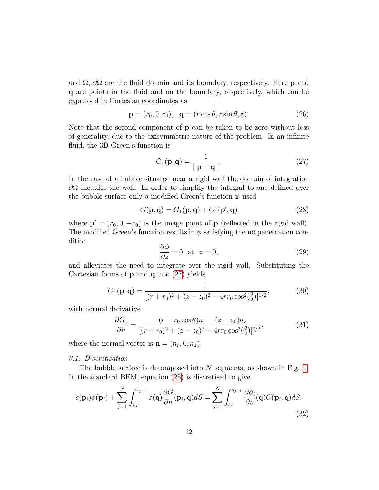and  $\Omega$ ,  $\partial\Omega$  are the fluid domain and its boundary, respectively. Here **p** and q are points in the fluid and on the boundary, respectively, which can be expressed in Cartesian coordinates as

$$
\mathbf{p} = (r_0, 0, z_0), \quad \mathbf{q} = (r \cos \theta, r \sin \theta, z). \tag{26}
$$

Note that the second component of p can be taken to be zero without loss of generality, due to the axisymmetric nature of the problem. In an infinite fluid, the 3D Green's function is

<span id="page-12-0"></span>
$$
G_1(\mathbf{p}, \mathbf{q}) = \frac{1}{|\mathbf{p} - \mathbf{q}|}.
$$
 (27)

In the case of a bubble situated near a rigid wall the domain of integration  $\partial\Omega$  includes the wall. In order to simplify the integral to one defined over the bubble surface only a modified Green's function is used

$$
G(\mathbf{p}, \mathbf{q}) = G_1(\mathbf{p}, \mathbf{q}) + G_1(\mathbf{p}', \mathbf{q})
$$
\n(28)

where  $\mathbf{p}' = (r_0, 0, -z_0)$  is the image point of  $\mathbf{p}$  (reflected in the rigid wall). The modified Green's function results in  $\phi$  satisfying the no penetration condition

$$
\frac{\partial \phi}{\partial z} = 0 \quad \text{at} \quad z = 0,\tag{29}
$$

and alleviates the need to integrate over the rigid wall. Substituting the Cartesian forms of  $\bf{p}$  and  $\bf{q}$  into [\(27\)](#page-12-0) yields

$$
G_1(\mathbf{p}, \mathbf{q}) = \frac{1}{[(r+r_0)^2 + (z-z_0)^2 - 4rr_0 \cos^2(\frac{\theta}{2})]^{1/2}},
$$
(30)

with normal derivative

$$
\frac{\partial G_1}{\partial n} = \frac{-(r - r_0 \cos \theta) n_r - (z - z_0) n_z}{[(r + r_0)^2 + (z - z_0)^2 - 4rr_0 \cos^2(\frac{\theta}{2})]^{3/2}},\tag{31}
$$

where the normal vector is  $\mathbf{n} = (n_r, 0, n_z)$ .

#### 3.1. Discretisation

The bubble surface is decomposed into  $N$  segments, as shown in Fig. [1.](#page-13-0) In the standard BEM, equation [\(25\)](#page-11-0) is discretised to give

$$
c(\mathbf{p}_i)\phi(\mathbf{p}_i) + \sum_{j=1}^N \int_{s_j}^{s_{j+1}} \phi(\mathbf{q}) \frac{\partial G}{\partial n}(\mathbf{p}_i, \mathbf{q}) dS = \sum_{j=1}^N \int_{s_j}^{s_{j+1}} \frac{\partial \phi_i}{\partial n}(\mathbf{q}) G(\mathbf{p}_i, \mathbf{q}) dS.
$$
\n(32)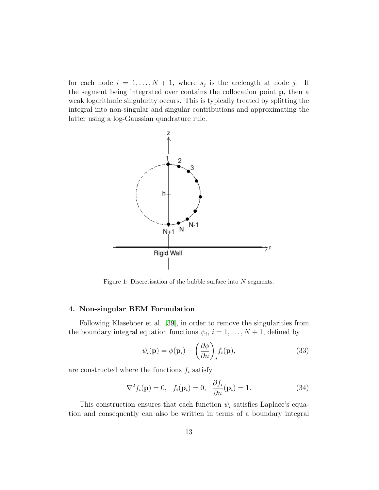for each node  $i = 1, ..., N + 1$ , where  $s_j$  is the arclength at node j. If the segment being integrated over contains the collocation point  $p_i$  then a weak logarithmic singularity occurs. This is typically treated by splitting the integral into non-singular and singular contributions and approximating the latter using a log-Gaussian quadrature rule.

<span id="page-13-0"></span>

Figure 1: Discretisation of the bubble surface into  $N$  segments.

#### 4. Non-singular BEM Formulation

Following Klaseboer et al. [\[39\]](#page-47-7), in order to remove the singularities from the boundary integral equation functions  $\psi_i$ ,  $i = 1, \ldots, N + 1$ , defined by

<span id="page-13-2"></span>
$$
\psi_i(\mathbf{p}) = \phi(\mathbf{p}_i) + \left(\frac{\partial \phi}{\partial n}\right)_i f_i(\mathbf{p}),\tag{33}
$$

are constructed where the functions  $f_i$  satisfy

<span id="page-13-1"></span>
$$
\nabla^2 f_i(\mathbf{p}) = 0, \quad f_i(\mathbf{p}_i) = 0, \quad \frac{\partial f_i}{\partial n}(\mathbf{p}_i) = 1.
$$
 (34)

This construction ensures that each function  $\psi_i$  satisfies Laplace's equation and consequently can also be written in terms of a boundary integral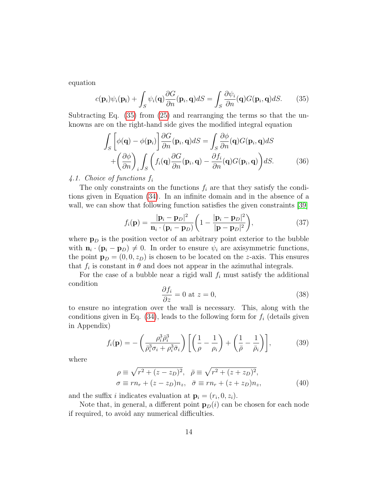equation

<span id="page-14-0"></span>
$$
c(\mathbf{p}_i)\psi_i(\mathbf{p_i}) + \int_S \psi_i(\mathbf{q}) \frac{\partial G}{\partial n}(\mathbf{p}_i, \mathbf{q}) dS = \int_S \frac{\partial \psi_i}{\partial n}(\mathbf{q}) G(\mathbf{p}_i, \mathbf{q}) dS. \tag{35}
$$

Subtracting Eq.  $(35)$  from  $(25)$  and rearranging the terms so that the unknowns are on the right-hand side gives the modified integral equation

$$
\int_{S} \left[ \phi(\mathbf{q}) - \phi(\mathbf{p}_{i}) \right] \frac{\partial G}{\partial n}(\mathbf{p}_{i}, \mathbf{q}) dS = \int_{S} \frac{\partial \phi}{\partial n}(\mathbf{q}) G(\mathbf{p}_{i}, \mathbf{q}) dS \n+ \left( \frac{\partial \phi}{\partial n} \right)_{i} \int_{S} \left( f_{i}(\mathbf{q}) \frac{\partial G}{\partial n}(\mathbf{p}_{i}, \mathbf{q}) - \frac{\partial f_{i}}{\partial n}(\mathbf{q}) G(\mathbf{p}_{i}, \mathbf{q}) \right) dS.
$$
\n(36)

4.1. Choice of functions  $f_i$ 

The only constraints on the functions  $f_i$  are that they satisfy the conditions given in Equation [\(34\)](#page-13-1). In an infinite domain and in the absence of a wall, we can show that following function satisfies the given constraints [\[39\]](#page-47-7)

<span id="page-14-1"></span>
$$
f_i(\mathbf{p}) = \frac{|\mathbf{p}_i - \mathbf{p}_D|^2}{\mathbf{n}_i \cdot (\mathbf{p}_i - \mathbf{p}_D)} \left( 1 - \frac{|\mathbf{p}_i - \mathbf{p}_D|^2}{|\mathbf{p} - \mathbf{p}_D|^2} \right),\tag{37}
$$

where  $\mathbf{p}_D$  is the position vector of an arbitrary point exterior to the bubble with  $\mathbf{n}_i \cdot (\mathbf{p}_i - \mathbf{p}_D) \neq 0$ . In order to ensure  $\psi_i$  are axisymmetric functions, the point  $\mathbf{p}_D = (0, 0, z_D)$  is chosen to be located on the z-axis. This ensures that  $f_i$  is constant in  $\theta$  and does not appear in the azimuthal integrals.

For the case of a bubble near a rigid wall  $f_i$  must satisfy the additional condition ∂f<sup>i</sup>

$$
\frac{\partial f_i}{\partial z} = 0 \text{ at } z = 0,
$$
\n(38)

to ensure no integration over the wall is necessary. This, along with the conditions given in Eq.  $(34)$ , leads to the following form for  $f_i$  (details given in Appendix)

$$
f_i(\mathbf{p}) = -\left(\frac{\rho_i^3 \bar{\rho}_i^3}{\bar{\rho}_i^3 \sigma_i + \rho_i^3 \bar{\sigma}_i}\right) \left[\left(\frac{1}{\rho} - \frac{1}{\rho_i}\right) + \left(\frac{1}{\bar{\rho}} - \frac{1}{\bar{\rho}_i}\right)\right],\tag{39}
$$

where

$$
\rho \equiv \sqrt{r^2 + (z - z_D)^2}, \quad \bar{\rho} \equiv \sqrt{r^2 + (z + z_D)^2},
$$
  
\n
$$
\sigma \equiv rn_r + (z - z_D)n_z, \quad \bar{\sigma} \equiv rn_r + (z + z_D)n_z,
$$
\n(40)

and the suffix *i* indicates evaluation at  $\mathbf{p}_i = (r_i, 0, z_i)$ .

Note that, in general, a different point  $\mathbf{p}_D(i)$  can be chosen for each node if required, to avoid any numerical difficulties.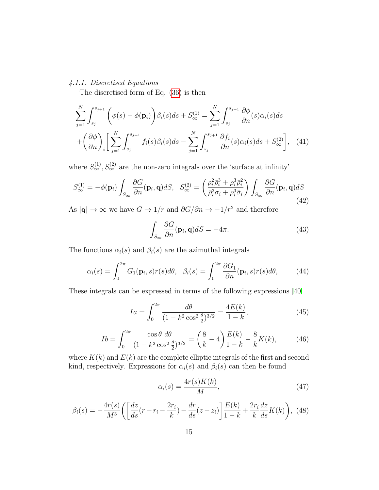# 4.1.1. Discretised Equations

The discretised form of Eq. [\(36\)](#page-14-1) is then

$$
\sum_{j=1}^{N} \int_{s_j}^{s_{j+1}} \left( \phi(s) - \phi(\mathbf{p}_i) \right) \beta_i(s) ds + S_{\infty}^{(1)} = \sum_{j=1}^{N} \int_{s_j}^{s_{j+1}} \frac{\partial \phi}{\partial n}(s) \alpha_i(s) ds + \left( \frac{\partial \phi}{\partial n} \right)_i \left[ \sum_{j=1}^{N} \int_{s_j}^{s_{j+1}} f_i(s) \beta_i(s) ds - \sum_{j=1}^{N} \int_{s_j}^{s_{j+1}} \frac{\partial f_i}{\partial n}(s) \alpha_i(s) ds + S_{\infty}^{(2)} \right], \quad (41)
$$

where  $S_{\infty}^{(1)}$ ,  $S_{\infty}^{(2)}$  are the non-zero integrals over the 'surface at infinity'

$$
S_{\infty}^{(1)} = -\phi(\mathbf{p}_i) \int_{S_{\infty}} \frac{\partial G}{\partial n}(\mathbf{p}_i, \mathbf{q}) dS, \quad S_{\infty}^{(2)} = \left(\frac{\rho_i^2 \bar{\rho}_i^3 + \rho_i^3 \bar{\rho}_i^2}{\bar{\rho}_i^3 \sigma_i + \rho_i^3 \bar{\sigma}_i}\right) \int_{S_{\infty}} \frac{\partial G}{\partial n}(\mathbf{p}_i, \mathbf{q}) dS
$$
\n(42)

As  $|{\bf q}|\to\infty$  we have  $G\to 1/r$  and  $\partial G/\partial n\to -1/r^2$  and therefore

<span id="page-15-0"></span>
$$
\int_{S_{\infty}} \frac{\partial G}{\partial n}(\mathbf{p}_i, \mathbf{q}) dS = -4\pi.
$$
\n(43)

The functions  $\alpha_i(s)$  and  $\beta_i(s)$  are the azimuthal integrals

$$
\alpha_i(s) = \int_0^{2\pi} G_1(\mathbf{p}_i, s) r(s) d\theta, \quad \beta_i(s) = \int_0^{2\pi} \frac{\partial G_1}{\partial n}(\mathbf{p}_i, s) r(s) d\theta,\tag{44}
$$

These integrals can be expressed in terms of the following expressions [\[40\]](#page-47-10)

$$
Ia = \int_0^{2\pi} \frac{d\theta}{(1 - k^2 \cos^2 \frac{\theta}{2})^{3/2}} = \frac{4E(k)}{1 - k},
$$
\n(45)

$$
Ib = \int_0^{2\pi} \frac{\cos \theta \, d\theta}{(1 - k^2 \cos^2 \frac{\theta}{2})^{3/2}} = \left(\frac{8}{k} - 4\right) \frac{E(k)}{1 - k} - \frac{8}{k} K(k),\tag{46}
$$

where  $K(k)$  and  $E(k)$  are the complete elliptic integrals of the first and second kind, respectively. Expressions for  $\alpha_i(s)$  and  $\beta_i(s)$  can then be found

$$
\alpha_i(s) = \frac{4r(s)K(k)}{M},\tag{47}
$$

$$
\beta_i(s) = -\frac{4r(s)}{M^3} \left( \left[ \frac{dz}{ds} (r + r_i - \frac{2r_i}{k}) - \frac{dr}{ds} (z - z_i) \right] \frac{E(k)}{1 - k} + \frac{2r_i}{k} \frac{dz}{ds} K(k) \right), \tag{48}
$$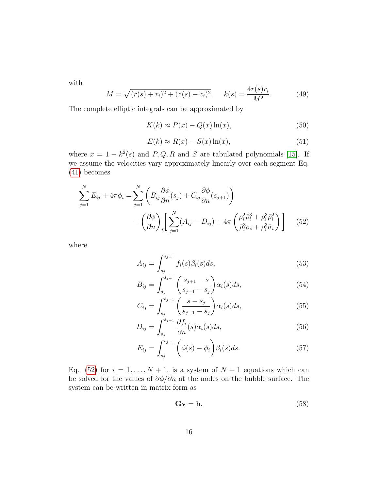with

$$
M = \sqrt{(r(s) + r_i)^2 + (z(s) - z_i)^2}, \quad k(s) = \frac{4r(s)r_i}{M^2}.
$$
 (49)

The complete elliptic integrals can be approximated by

$$
K(k) \approx P(x) - Q(x)\ln(x),\tag{50}
$$

$$
E(k) \approx R(x) - S(x) \ln(x),\tag{51}
$$

where  $x = 1 - k^2(s)$  and P, Q, R and S are tabulated polynomials [\[15\]](#page-45-10). If we assume the velocities vary approximately linearly over each segment Eq. [\(41\)](#page-15-0) becomes

$$
\sum_{j=1}^{N} E_{ij} + 4\pi \phi_i = \sum_{j=1}^{N} \left( B_{ij} \frac{\partial \phi}{\partial n} (s_j) + C_{ij} \frac{\partial \phi}{\partial n} (s_{j+1}) \right) + \left( \frac{\partial \phi}{\partial n} \right)_i \left[ \sum_{j=1}^{N} (A_{ij} - D_{ij}) + 4\pi \left( \frac{\rho_i^2 \bar{\rho}_i^3 + \rho_i^3 \bar{\rho}_i^2}{\bar{\rho}_i^3 \sigma_i + \rho_i^3 \bar{\sigma}_i} \right) \right]
$$
(52)

where

<span id="page-16-1"></span><span id="page-16-0"></span>
$$
A_{ij} = \int_{s_j}^{s_{j+1}} f_i(s) \beta_i(s) ds,
$$
\n(53)

$$
B_{ij} = \int_{s_j}^{s_{j+1}} \left( \frac{s_{j+1} - s}{s_{j+1} - s_j} \right) \alpha_i(s) ds,
$$
 (54)

$$
C_{ij} = \int_{s_j}^{s_{j+1}} \left( \frac{s - s_j}{s_{j+1} - s_j} \right) \alpha_i(s) ds,
$$
 (55)

$$
D_{ij} = \int_{s_j}^{s_{j+1}} \frac{\partial f_i}{\partial n}(s) \alpha_i(s) ds,
$$
\n(56)

$$
E_{ij} = \int_{s_j}^{s_{j+1}} \left( \phi(s) - \phi_i \right) \beta_i(s) ds.
$$
 (57)

Eq. [\(52\)](#page-16-0) for  $i = 1, ..., N + 1$ , is a system of  $N + 1$  equations which can be solved for the values of  $\partial \phi / \partial n$  at the nodes on the bubble surface. The system can be written in matrix form as

<span id="page-16-2"></span>
$$
Gv = h. \t\t(58)
$$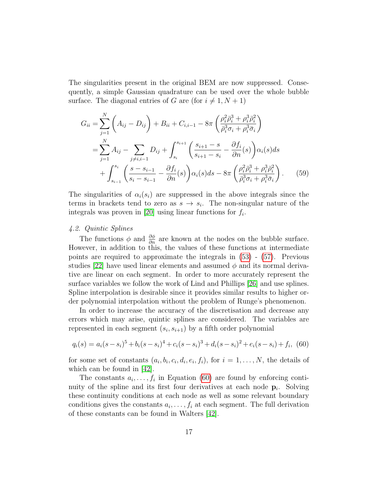The singularities present in the original BEM are now suppressed. Consequently, a simple Gaussian quadrature can be used over the whole bubble surface. The diagonal entries of G are (for  $i \neq 1, N + 1$ )

$$
G_{ii} = \sum_{j=1}^{N} \left( A_{ij} - D_{ij} \right) + B_{ii} + C_{i,i-1} - 8\pi \left( \frac{\rho_i^2 \bar{\rho}_i^3 + \rho_i^3 \bar{\rho}_i^2}{\bar{\rho}_i^3 \sigma_i + \rho_i^3 \bar{\sigma}_i} \right)
$$
  
= 
$$
\sum_{j=1}^{N} A_{ij} - \sum_{j \neq i, i-1} D_{ij} + \int_{s_i}^{s_{i+1}} \left( \frac{s_{i+1} - s}{s_{i+1} - s_i} - \frac{\partial f_i}{\partial n}(s) \right) \alpha_i(s) ds
$$
  
+ 
$$
\int_{s_{i-1}}^{s_i} \left( \frac{s - s_{i-1}}{s_i - s_{i-1}} - \frac{\partial f_i}{\partial n}(s) \right) \alpha_i(s) ds - 8\pi \left( \frac{\rho_i^2 \bar{\rho}_i^3 + \rho_i^3 \bar{\rho}_i^2}{\bar{\rho}_i^3 \sigma_i + \rho_i^3 \bar{\sigma}_i} \right). \tag{59}
$$

The singularities of  $\alpha_i(s_i)$  are suppressed in the above integrals since the terms in brackets tend to zero as  $s \to s_i$ . The non-singular nature of the integrals was proven in [\[20\]](#page-45-11) using linear functions for  $f_i$ .

#### 4.2. Quintic Splines

The functions  $\phi$  and  $\frac{\partial \phi}{\partial n}$  are known at the nodes on the bubble surface. However, in addition to this, the values of these functions at intermediate points are required to approximate the integrals in [\(53\)](#page-16-1) - [\(57\)](#page-16-2). Previous studies [\[22\]](#page-46-9) have used linear elements and assumed  $\phi$  and its normal derivative are linear on each segment. In order to more accurately represent the surface variables we follow the work of Lind and Phillips [\[26\]](#page-46-8) and use splines. Spline interpolation is desirable since it provides similar results to higher order polynomial interpolation without the problem of Runge's phenomenon.

In order to increase the accuracy of the discretisation and decrease any errors which may arise, quintic splines are considered. The variables are represented in each segment  $(s_i, s_{i+1})$  by a fifth order polynomial

<span id="page-17-0"></span>
$$
q_i(s) = a_i(s - s_i)^5 + b_i(s - s_i)^4 + c_i(s - s_i)^3 + d_i(s - s_i)^2 + e_i(s - s_i) + f_i
$$
 (60)

for some set of constants  $(a_i, b_i, c_i, d_i, e_i, f_i)$ , for  $i = 1, ..., N$ , the details of which can be found in [\[42\]](#page-47-5).

The constants  $a_i, \ldots, f_i$  in Equation [\(60\)](#page-17-0) are found by enforcing continuity of the spline and its first four derivatives at each node  $\mathbf{p}_i$ . Solving these continuity conditions at each node as well as some relevant boundary conditions gives the constants  $a_i, \ldots, f_i$  at each segment. The full derivation of these constants can be found in Walters [\[42\]](#page-47-5).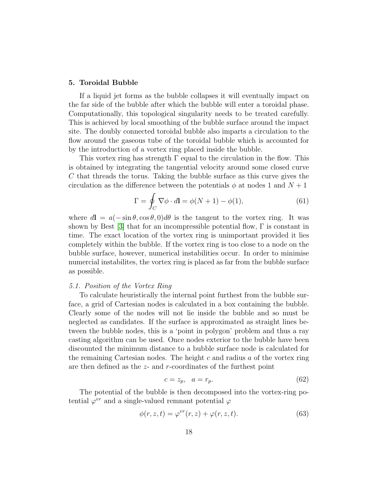#### 5. Toroidal Bubble

If a liquid jet forms as the bubble collapses it will eventually impact on the far side of the bubble after which the bubble will enter a toroidal phase. Computationally, this topological singularity needs to be treated carefully. This is achieved by local smoothing of the bubble surface around the impact site. The doubly connected toroidal bubble also imparts a circulation to the flow around the gaseous tube of the toroidal bubble which is accounted for by the introduction of a vortex ring placed inside the bubble.

This vortex ring has strength  $\Gamma$  equal to the circulation in the flow. This is obtained by integrating the tangential velocity around some closed curve C that threads the torus. Taking the bubble surface as this curve gives the circulation as the difference between the potentials  $\phi$  at nodes 1 and  $N+1$ 

$$
\Gamma = \oint_C \nabla \phi \cdot d\mathbf{l} = \phi(N+1) - \phi(1),\tag{61}
$$

where  $d\mathbf{l} = a(-\sin\theta, \cos\theta, 0)d\theta$  is the tangent to the vortex ring. It was shown by Best  $|3|$  that for an incompressible potential flow,  $\Gamma$  is constant in time. The exact location of the vortex ring is unimportant provided it lies completely within the bubble. If the vortex ring is too close to a node on the bubble surface, however, numerical instabilities occur. In order to minimise numercial instabilites, the vortex ring is placed as far from the bubble surface as possible.

#### 5.1. Position of the Vortex Ring

To calculate heuristically the internal point furthest from the bubble surface, a grid of Cartesian nodes is calculated in a box containing the bubble. Clearly some of the nodes will not lie inside the bubble and so must be neglected as candidates. If the surface is approximated as straight lines between the bubble nodes, this is a 'point in polygon' problem and thus a ray casting algorithm can be used. Once nodes exterior to the bubble have been discounted the minimum distance to a bubble surface node is calculated for the remaining Cartesian nodes. The height c and radius  $a$  of the vortex ring are then defined as the z- and r-coordinates of the furthest point

$$
c = z_p, \quad a = r_p. \tag{62}
$$

The potential of the bubble is then decomposed into the vortex-ring potential  $\varphi^{vr}$  and a single-valued remnant potential  $\varphi$ 

<span id="page-18-0"></span>
$$
\phi(r, z, t) = \varphi^{vr}(r, z) + \varphi(r, z, t). \tag{63}
$$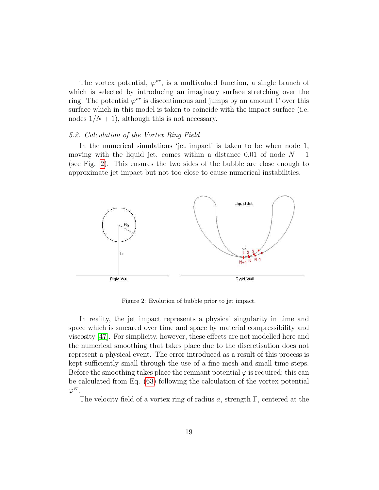The vortex potential,  $\varphi^{vr}$ , is a multivalued function, a single branch of which is selected by introducing an imaginary surface stretching over the ring. The potential  $\varphi^{vr}$  is discontinuous and jumps by an amount  $\Gamma$  over this surface which in this model is taken to coincide with the impact surface (i.e. nodes  $1/N + 1$ , although this is not necessary.

#### 5.2. Calculation of the Vortex Ring Field

In the numerical simulations 'jet impact' is taken to be when node 1, moving with the liquid jet, comes within a distance 0.01 of node  $N + 1$ (see Fig. [2\)](#page-19-0). This ensures the two sides of the bubble are close enough to approximate jet impact but not too close to cause numerical instabilities.

<span id="page-19-0"></span>

Figure 2: Evolution of bubble prior to jet impact.

In reality, the jet impact represents a physical singularity in time and space which is smeared over time and space by material compressibility and viscosity [\[47\]](#page-48-1). For simplicity, however, these effects are not modelled here and the numerical smoothing that takes place due to the discretisation does not represent a physical event. The error introduced as a result of this process is kept sufficiently small through the use of a fine mesh and small time steps. Before the smoothing takes place the remnant potential  $\varphi$  is required; this can be calculated from Eq. [\(63\)](#page-18-0) following the calculation of the vortex potential  $\varphi^{vr}$ .

The velocity field of a vortex ring of radius a, strength  $\Gamma$ , centered at the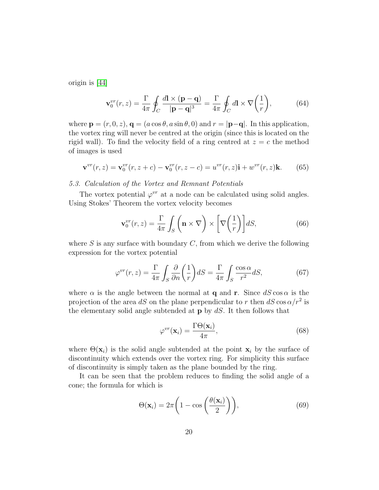origin is [\[44\]](#page-48-2)

$$
\mathbf{v}_0^{vr}(r,z) = \frac{\Gamma}{4\pi} \oint_C \frac{d\mathbf{l} \times (\mathbf{p} - \mathbf{q})}{|\mathbf{p} - \mathbf{q}|^3} = \frac{\Gamma}{4\pi} \oint_C d\mathbf{l} \times \nabla \left(\frac{1}{r}\right),\tag{64}
$$

where  $\mathbf{p} = (r, 0, z), \mathbf{q} = (a \cos \theta, a \sin \theta, 0)$  and  $r = |\mathbf{p} - \mathbf{q}|$ . In this application, the vortex ring will never be centred at the origin (since this is located on the rigid wall). To find the velocity field of a ring centred at  $z = c$  the method of images is used

$$
\mathbf{v}^{vr}(r,z) = \mathbf{v}_0^{vr}(r,z+c) - \mathbf{v}_0^{vr}(r,z-c) = u^{vr}(r,z)\mathbf{i} + w^{vr}(r,z)\mathbf{k}.
$$
 (65)

## 5.3. Calculation of the Vortex and Remnant Potentials

The vortex potential  $\varphi^{vr}$  at a node can be calculated using solid angles. Using Stokes' Theorem the vortex velocity becomes

<span id="page-20-1"></span>
$$
\mathbf{v}_0^{vr}(r,z) = \frac{\Gamma}{4\pi} \int_S \left(\mathbf{n} \times \nabla\right) \times \left[\nabla\left(\frac{1}{r}\right)\right] dS,\tag{66}
$$

where  $S$  is any surface with boundary  $C$ , from which we derive the following expression for the vortex potential

$$
\varphi^{vr}(r,z) = \frac{\Gamma}{4\pi} \int_S \frac{\partial}{\partial n} \left(\frac{1}{r}\right) dS = \frac{\Gamma}{4\pi} \int_S \frac{\cos \alpha}{r^2} dS,\tag{67}
$$

where  $\alpha$  is the angle between the normal at **q** and **r**. Since  $dS \cos \alpha$  is the projection of the area dS on the plane perpendicular to r then  $dS \cos \alpha/r^2$  is the elementary solid angle subtended at  $\bf{p}$  by  $dS$ . It then follows that

<span id="page-20-0"></span>
$$
\varphi^{vr}(\mathbf{x}_i) = \frac{\Gamma \Theta(\mathbf{x}_i)}{4\pi},\tag{68}
$$

where  $\Theta(\mathbf{x}_i)$  is the solid angle subtended at the point  $\mathbf{x}_i$  by the surface of discontinuity which extends over the vortex ring. For simplicity this surface of discontinuity is simply taken as the plane bounded by the ring.

It can be seen that the problem reduces to finding the solid angle of a cone; the formula for which is

$$
\Theta(\mathbf{x}_i) = 2\pi \left( 1 - \cos\left(\frac{\theta(\mathbf{x}_i)}{2}\right) \right),\tag{69}
$$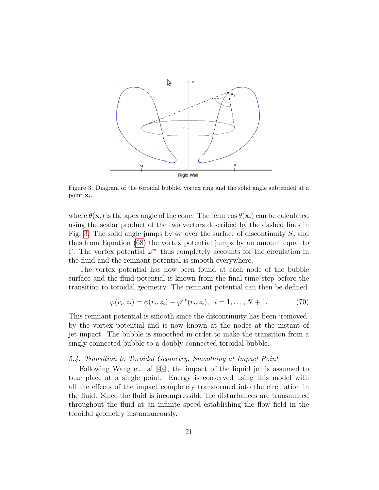<span id="page-21-0"></span>

Figure 3: Diagram of the toroidal bubble, vortex ring and the solid angle subtended at a point  $\mathbf{x}_i$ .

where  $\theta(\mathbf{x}_i)$  is the apex angle of the cone. The term  $\cos \theta(\mathbf{x}_i)$  can be calculated using the scalar product of the two vectors described by the dashed lines in Fig. [3.](#page-21-0) The solid angle jumps by  $4\pi$  over the surface of discontinuity  $S_c$  and thus from Equation [\(68\)](#page-20-0) the vortex potential jumps by an amount equal to Γ. The vortex potential  $\varphi^{vr}$  thus completely accounts for the circulation in the fluid and the remnant potential is smooth everywhere.

The vortex potential has now been found at each node of the bubble surface and the fluid potential is known from the final time step before the transition to toroidal geometry. The remnant potential can then be defined

$$
\varphi(r_i, z_i) = \phi(r_i, z_i) - \varphi^{vr}(r_i, z_i), \quad i = 1, ..., N + 1.
$$
 (70)

This remnant potential is smooth since the discontinuity has been 'removed' by the vortex potential and is now known at the nodes at the instant of jet impact. The bubble is smoothed in order to make the transition from a singly-connected bubble to a doubly-connected toroidal bubble.

#### 5.4. Transition to Toroidal Geometry: Smoothing at Impact Point

Following Wang et. al [\[44\]](#page-48-2), the impact of the liquid jet is assumed to take place at a single point. Energy is conserved using this model with all the effects of the impact completely transformed into the circulation in the fluid. Since the fluid is incompressible the disturbances are transmitted throughout the fluid at an infinite speed establishing the flow field in the toroidal geometry instantaneously.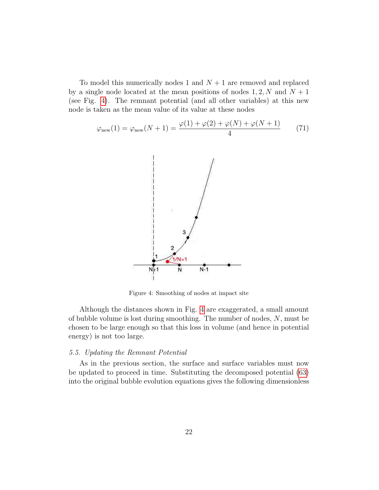To model this numerically nodes 1 and  $N+1$  are removed and replaced by a single node located at the mean positions of nodes  $1, 2, N$  and  $N + 1$ (see Fig. [4\)](#page-22-0). The remnant potential (and all other variables) at this new node is taken as the mean value of its value at these nodes

<span id="page-22-0"></span>
$$
\varphi_{\text{new}}(1) = \varphi_{\text{new}}(N+1) = \frac{\varphi(1) + \varphi(2) + \varphi(N) + \varphi(N+1)}{4} \tag{71}
$$



Figure 4: Smoothing of nodes at impact site

Although the distances shown in Fig. [4](#page-22-0) are exaggerated, a small amount of bubble volume is lost during smoothing. The number of nodes, N, must be chosen to be large enough so that this loss in volume (and hence in potential energy) is not too large.

#### 5.5. Updating the Remnant Potential

As in the previous section, the surface and surface variables must now be updated to proceed in time. Substituting the decomposed potential [\(63\)](#page-18-0) into the original bubble evolution equations gives the following dimensionless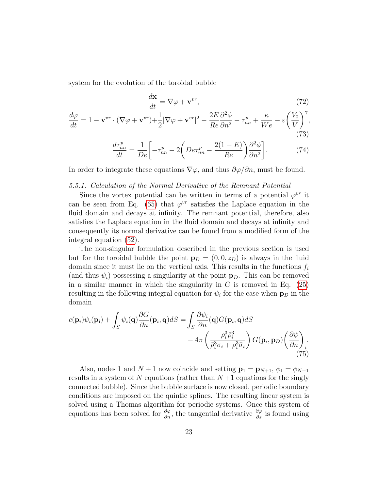system for the evolution of the toroidal bubble

<span id="page-23-1"></span><span id="page-23-0"></span>
$$
\frac{d\mathbf{x}}{dt} = \nabla\varphi + \mathbf{v}^{vr},\tag{72}
$$

$$
\frac{d\varphi}{dt} = 1 - \mathbf{v}^{vr} \cdot (\nabla \varphi + \mathbf{v}^{vr}) + \frac{1}{2} |\nabla \varphi + \mathbf{v}^{vr}|^2 - \frac{2E}{Re} \frac{\partial^2 \phi}{\partial n^2} - \tau_{nn}^p + \frac{\kappa}{We} - \varepsilon \left(\frac{V_0}{V}\right)^{\gamma},\tag{73}
$$

$$
\frac{d\tau_{nn}^p}{dt} = \frac{1}{De} \left[ -\tau_{nn}^p - 2\left( De\tau_{nn}^p - \frac{2(1-E)}{Re} \right) \frac{\partial^2 \phi}{\partial n^2} \right].
$$
 (74)

In order to integrate these equations  $\nabla \varphi$ , and thus  $\partial \varphi / \partial n$ , must be found.

#### 5.5.1. Calculation of the Normal Derivative of the Remnant Potential

Since the vortex potential can be written in terms of a potential  $\varphi^{vr}$  it can be seen from Eq. [\(65\)](#page-20-1) that  $\varphi^{vr}$  satisfies the Laplace equation in the fluid domain and decays at infinity. The remnant potential, therefore, also satisfies the Laplace equation in the fluid domain and decays at infinity and consequently its normal derivative can be found from a modified form of the integral equation [\(52\)](#page-16-0).

The non-singular formulation described in the previous section is used but for the toroidal bubble the point  $\mathbf{p}_D = (0, 0, z_D)$  is always in the fluid domain since it must lie on the vertical axis. This results in the functions  $f_i$ (and thus  $\psi_i$ ) possessing a singularity at the point  $\mathbf{p}_D$ . This can be removed in a similar manner in which the singularity in  $G$  is removed in Eq. [\(25\)](#page-11-0) resulting in the following integral equation for  $\psi_i$  for the case when  $\mathbf{p}_D$  in the domain

$$
c(\mathbf{p}_i)\psi_i(\mathbf{p}_i) + \int_S \psi_i(\mathbf{q}) \frac{\partial G}{\partial n}(\mathbf{p}_i, \mathbf{q}) dS = \int_S \frac{\partial \psi_i}{\partial n}(\mathbf{q}) G(\mathbf{p}_i, \mathbf{q}) dS - 4\pi \left( \frac{\rho_i^3 \bar{\rho}_i^3}{\bar{\rho}_i^3 \sigma_i + \rho_i^3 \bar{\sigma}_i} \right) G(\mathbf{p}_i, \mathbf{p}_D) \left( \frac{\partial \psi}{\partial n} \right)_i
$$
(75)

Also, nodes 1 and  $N+1$  now coincide and setting  $\mathbf{p}_1 = \mathbf{p}_{N+1}, \phi_1 = \phi_{N+1}$ results in a system of N equations (rather than  $N+1$  equations for the singly connected bubble). Since the bubble surface is now closed, periodic boundary conditions are imposed on the quintic splines. The resulting linear system is solved using a Thomas algorithm for periodic systems. Once this system of equations has been solved for  $\frac{\partial \varphi}{\partial n}$ , the tangential derivative  $\frac{\partial \varphi}{\partial s}$  is found using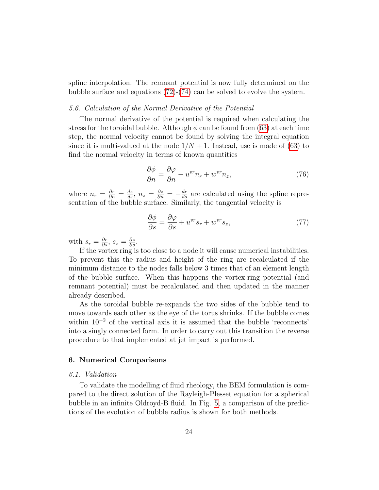spline interpolation. The remnant potential is now fully determined on the bubble surface and equations [\(72\)](#page-23-0)-[\(74\)](#page-23-1) can be solved to evolve the system.

#### 5.6. Calculation of the Normal Derivative of the Potential

The normal derivative of the potential is required when calculating the stress for the toroidal bubble. Although  $\phi$  can be found from [\(63\)](#page-18-0) at each time step, the normal velocity cannot be found by solving the integral equation since it is multi-valued at the node  $1/N + 1$ . Instead, use is made of [\(63\)](#page-18-0) to find the normal velocity in terms of known quantities

$$
\frac{\partial \phi}{\partial n} = \frac{\partial \varphi}{\partial n} + u^{vr} n_r + w^{vr} n_z,
$$
\n(76)

where  $n_r = \frac{\partial r}{\partial n} = \frac{dz}{ds}$ ,  $n_z = \frac{\partial z}{\partial n} = -\frac{dr}{ds}$  are calculated using the spline representation of the bubble surface. Similarly, the tangential velocity is

$$
\frac{\partial \phi}{\partial s} = \frac{\partial \varphi}{\partial s} + u^{vr} s_r + w^{vr} s_z,\tag{77}
$$

with  $s_r = \frac{\partial r}{\partial s}, s_z = \frac{\partial z}{\partial s}.$ 

If the vortex ring is too close to a node it will cause numerical instabilities. To prevent this the radius and height of the ring are recalculated if the minimum distance to the nodes falls below 3 times that of an element length of the bubble surface. When this happens the vortex-ring potential (and remnant potential) must be recalculated and then updated in the manner already described.

As the toroidal bubble re-expands the two sides of the bubble tend to move towards each other as the eye of the torus shrinks. If the bubble comes within 10<sup>−</sup><sup>2</sup> of the vertical axis it is assumed that the bubble 'reconnects' into a singly connected form. In order to carry out this transition the reverse procedure to that implemented at jet impact is performed.

#### 6. Numerical Comparisons

#### 6.1. Validation

To validate the modelling of fluid rheology, the BEM formulation is compared to the direct solution of the Rayleigh-Plesset equation for a spherical bubble in an infinite Oldroyd-B fluid. In Fig. [5,](#page-25-0) a comparison of the predictions of the evolution of bubble radius is shown for both methods.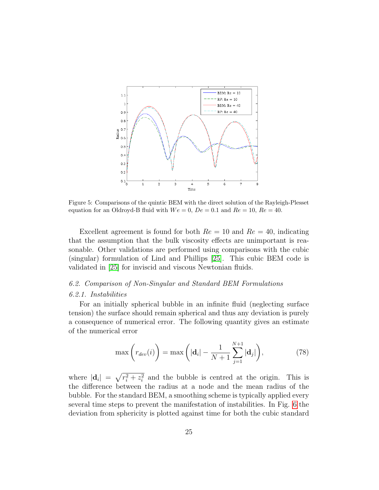<span id="page-25-0"></span>

Figure 5: Comparisons of the quintic BEM with the direct solution of the Rayleigh-Plesset equation for an Oldroyd-B fluid with  $We = 0$ ,  $De = 0.1$  and  $Re = 10$ ,  $Re = 40$ .

Excellent agreement is found for both  $Re = 10$  and  $Re = 40$ , indicating that the assumption that the bulk viscosity effects are unimportant is reasonable. Other validations are performed using comparisons with the cubic (singular) formulation of Lind and Phillips [\[25\]](#page-46-5). This cubic BEM code is validated in [\[25\]](#page-46-5) for inviscid and viscous Newtonian fluids.

# 6.2. Comparison of Non-Singular and Standard BEM Formulations 6.2.1. Instabilities

For an initially spherical bubble in an infinite fluid (neglecting surface tension) the surface should remain spherical and thus any deviation is purely a consequence of numerical error. The following quantity gives an estimate of the numerical error

$$
\max\left(r_{dev}(i)\right) = \max\left(|\mathbf{d}_i| - \frac{1}{N+1} \sum_{j=1}^{N+1} |\mathbf{d}_j|\right),\tag{78}
$$

where  $|\mathbf{d}_i| = \sqrt{r_i^2 + z_i^2}$  and the bubble is centred at the origin. This is the difference between the radius at a node and the mean radius of the bubble. For the standard BEM, a smoothing scheme is typically applied every several time steps to prevent the manifestation of instabilities. In Fig. [6](#page-26-0) the deviation from sphericity is plotted against time for both the cubic standard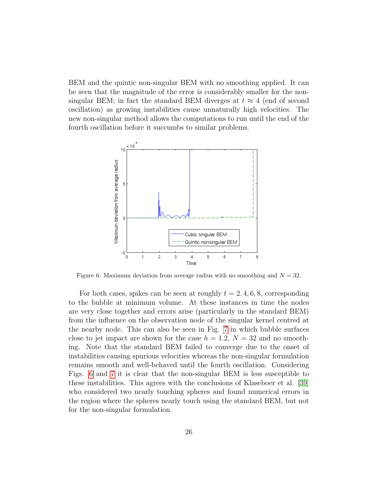BEM and the quintic non-singular BEM with no smoothing applied. It can be seen that the magnitude of the error is considerably smaller for the nonsingular BEM; in fact the standard BEM diverges at  $t \approx 4$  (end of second oscillation) as growing instabilities cause unnaturally high velocities. The new non-singular method allows the computations to run until the end of the fourth oscillation before it succumbs to similar problems.

<span id="page-26-0"></span>

Figure 6: Maximum deviation from average radius with no smoothing and  $N = 32$ .

For both cases, spikes can be seen at roughly  $t = 2, 4, 6, 8$ , corresponding to the bubble at minimum volume. At these instances in time the nodes are very close together and errors arise (particularly in the standard BEM) from the influence on the observation node of the singular kernel centred at the nearby node. This can also be seen in Fig. [7](#page-27-0) in which bubble surfaces close to jet impact are shown for the case  $h = 1.2$ ,  $N = 32$  and no smoothing. Note that the standard BEM failed to converge due to the onset of instabilities causing spurious velocities whereas the non-singular formulation remains smooth and well-behaved until the fourth oscillation. Considering Figs. [6](#page-26-0) and [7](#page-27-0) it is clear that the non-singular BEM is less susceptible to these instabilities. This agrees with the conclusions of Klaseboer et al. [\[39\]](#page-47-7) who considered two nearly touching spheres and found numerical errors in the region where the spheres nearly touch using the standard BEM, but not for the non-singular formulation.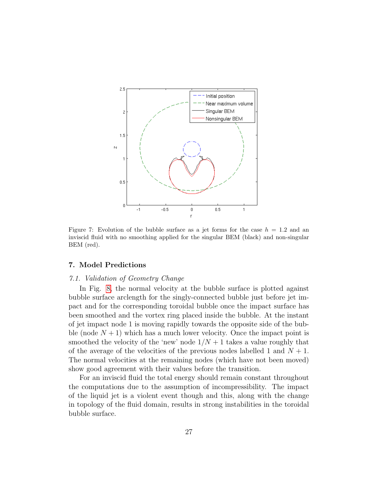<span id="page-27-0"></span>

Figure 7: Evolution of the bubble surface as a jet forms for the case  $h = 1.2$  and an inviscid fluid with no smoothing applied for the singular BEM (black) and non-singular BEM (red).

### 7. Model Predictions

#### 7.1. Validation of Geometry Change

In Fig. [8,](#page-28-0) the normal velocity at the bubble surface is plotted against bubble surface arclength for the singly-connected bubble just before jet impact and for the corresponding toroidal bubble once the impact surface has been smoothed and the vortex ring placed inside the bubble. At the instant of jet impact node 1 is moving rapidly towards the opposite side of the bubble (node  $N + 1$ ) which has a much lower velocity. Once the impact point is smoothed the velocity of the 'new' node  $1/N + 1$  takes a value roughly that of the average of the velocities of the previous nodes labelled 1 and  $N + 1$ . The normal velocities at the remaining nodes (which have not been moved) show good agreement with their values before the transition.

For an inviscid fluid the total energy should remain constant throughout the computations due to the assumption of incompressibility. The impact of the liquid jet is a violent event though and this, along with the change in topology of the fluid domain, results in strong instabilities in the toroidal bubble surface.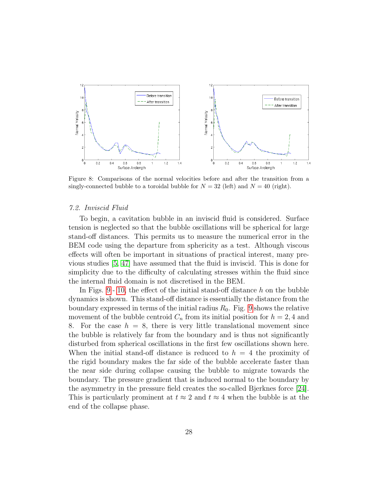<span id="page-28-0"></span>

Figure 8: Comparisons of the normal velocities before and after the transition from a singly-connected bubble to a toroidal bubble for  $N = 32$  (left) and  $N = 40$  (right).

#### 7.2. Inviscid Fluid

To begin, a cavitation bubble in an inviscid fluid is considered. Surface tension is neglected so that the bubble oscillations will be spherical for large stand-off distances. This permits us to measure the numerical error in the BEM code using the departure from sphericity as a test. Although viscous effects will often be important in situations of practical interest, many previous studies [\[5,](#page-44-2) [47\]](#page-48-1) have assumed that the fluid is inviscid. This is done for simplicity due to the difficulty of calculating stresses within the fluid since the internal fluid domain is not discretised in the BEM.

InFigs.  $9 - 10$ , the effect of the initial stand-off distance h on the bubble dynamics is shown. This stand-off distance is essentially the distance from the boundary expressed in terms of the initial radius  $R_0$ . Fig. [9](#page-29-0) shows the relative movement of the bubble centroid  $C_n$  from its initial position for  $h = 2, 4$  and 8. For the case  $h = 8$ , there is very little translational movement since the bubble is relatively far from the boundary and is thus not significantly disturbed from spherical oscillations in the first few oscillations shown here. When the initial stand-off distance is reduced to  $h = 4$  the proximity of the rigid boundary makes the far side of the bubble accelerate faster than the near side during collapse causing the bubble to migrate towards the boundary. The pressure gradient that is induced normal to the boundary by the asymmetry in the pressure field creates the so-called Bjerknes force [\[24\]](#page-46-10). This is particularly prominent at  $t \approx 2$  and  $t \approx 4$  when the bubble is at the end of the collapse phase.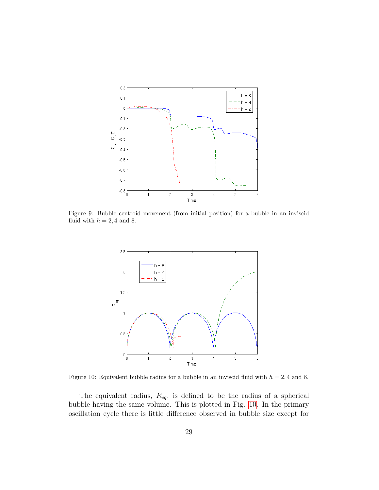<span id="page-29-0"></span>

<span id="page-29-1"></span>Figure 9: Bubble centroid movement (from initial position) for a bubble in an inviscid fluid with  $h = 2, 4$  and 8.



Figure 10: Equivalent bubble radius for a bubble in an inviscid fluid with  $h = 2, 4$  and 8.

The equivalent radius,  $R_{eq}$ , is defined to be the radius of a spherical bubble having the same volume. This is plotted in Fig. [10.](#page-29-1) In the primary oscillation cycle there is little difference observed in bubble size except for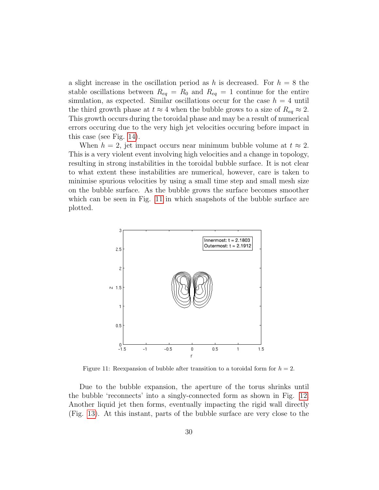a slight increase in the oscillation period as h is decreased. For  $h = 8$  the stable oscillations between  $R_{eq} = R_0$  and  $R_{eq} = 1$  continue for the entire simulation, as expected. Similar oscillations occur for the case  $h = 4$  until the third growth phase at  $t \approx 4$  when the bubble grows to a size of  $R_{eq} \approx 2$ . This growth occurs during the toroidal phase and may be a result of numerical errors occuring due to the very high jet velocities occuring before impact in this case (see Fig. [14\)](#page-32-0).

When  $h = 2$ , jet impact occurs near minimum bubble volume at  $t \approx 2$ . This is a very violent event involving high velocities and a change in topology, resulting in strong instabilities in the toroidal bubble surface. It is not clear to what extent these instabilities are numerical, however, care is taken to minimise spurious velocities by using a small time step and small mesh size on the bubble surface. As the bubble grows the surface becomes smoother which can be seen in Fig. [11](#page-30-0) in which snapshots of the bubble surface are plotted.

<span id="page-30-0"></span>

Figure 11: Reexpansion of bubble after transition to a toroidal form for  $h = 2$ .

Due to the bubble expansion, the aperture of the torus shrinks until the bubble 'reconnects' into a singly-connected form as shown in Fig. [12.](#page-31-0) Another liquid jet then forms, eventually impacting the rigid wall directly (Fig. [13\)](#page-32-1). At this instant, parts of the bubble surface are very close to the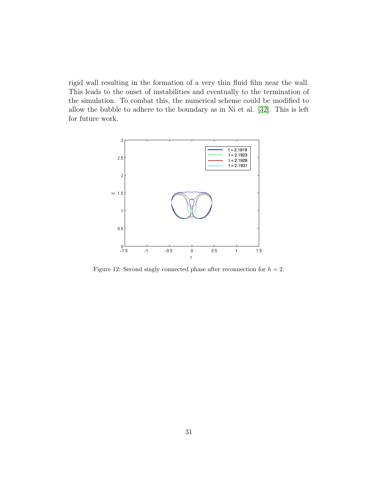rigid wall resulting in the formation of a very thin fluid film near the wall. This leads to the onset of instabilities and eventually to the termination of the simulation. To combat this, the numerical scheme could be modified to allow the bubble to adhere to the boundary as in Ni et al. [\[32\]](#page-46-11). This is left for future work.

<span id="page-31-0"></span>

Figure 12: Second singly connected phase after reconnection for  $h = 2$ .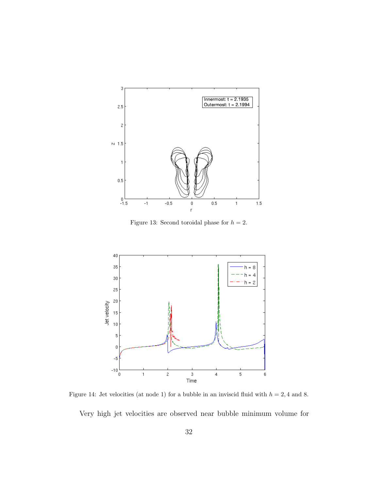<span id="page-32-1"></span>

Figure 13: Second toroidal phase for  $h = 2$ .

<span id="page-32-0"></span>

Figure 14: Jet velocities (at node 1) for a bubble in an inviscid fluid with  $h = 2, 4$  and 8.

Very high jet velocities are observed near bubble minimum volume for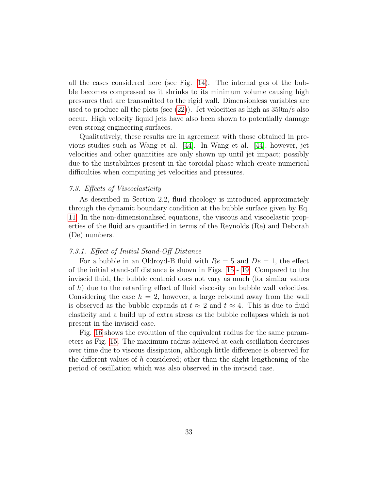all the cases considered here (see Fig. [14\)](#page-32-0). The internal gas of the bubble becomes compressed as it shrinks to its minimum volume causing high pressures that are transmitted to the rigid wall. Dimensionless variables are used to produce all the plots (see  $(22)$ ). Jet velocities as high as  $350 \text{m/s}$  also occur. High velocity liquid jets have also been shown to potentially damage even strong engineering surfaces.

Qualitatively, these results are in agreement with those obtained in previous studies such as Wang et al. [\[44\]](#page-48-2). In Wang et al. [\[44\]](#page-48-2), however, jet velocities and other quantities are only shown up until jet impact; possibly due to the instabilities present in the toroidal phase which create numerical difficulties when computing jet velocities and pressures.

#### 7.3. Effects of Viscoelasticity

As described in Section 2.2, fluid rheology is introduced approximately through the dynamic boundary condition at the bubble surface given by Eq. [11.](#page-9-3) In the non-dimensionalised equations, the viscous and viscoelastic properties of the fluid are quantified in terms of the Reynolds (Re) and Deborah (De) numbers.

#### 7.3.1. Effect of Initial Stand-Off Distance

For a bubble in an Oldroyd-B fluid with  $Re = 5$  and  $De = 1$ , the effect of the initial stand-off distance is shown in Figs. [15](#page-34-0) - [19.](#page-37-0) Compared to the inviscid fluid, the bubble centroid does not vary as much (for similar values of h) due to the retarding effect of fluid viscosity on bubble wall velocities. Considering the case  $h = 2$ , however, a large rebound away from the wall is observed as the bubble expands at  $t \approx 2$  and  $t \approx 4$ . This is due to fluid elasticity and a build up of extra stress as the bubble collapses which is not present in the inviscid case.

Fig. [16](#page-34-1) shows the evolution of the equivalent radius for the same parameters as Fig. [15.](#page-34-0) The maximum radius achieved at each oscillation decreases over time due to viscous dissipation, although little difference is observed for the different values of h considered; other than the slight lengthening of the period of oscillation which was also observed in the inviscid case.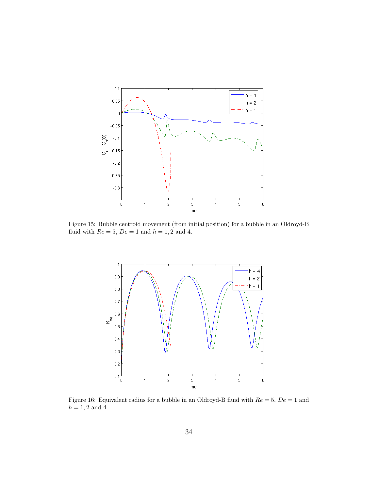<span id="page-34-0"></span>

<span id="page-34-1"></span>Figure 15: Bubble centroid movement (from initial position) for a bubble in an Oldroyd-B fluid with  $Re = 5$ ,  $De = 1$  and  $h = 1, 2$  and 4.



Figure 16: Equivalent radius for a bubble in an Oldroyd-B fluid with  $Re = 5$ ,  $De = 1$  and  $h = 1, 2$  and 4.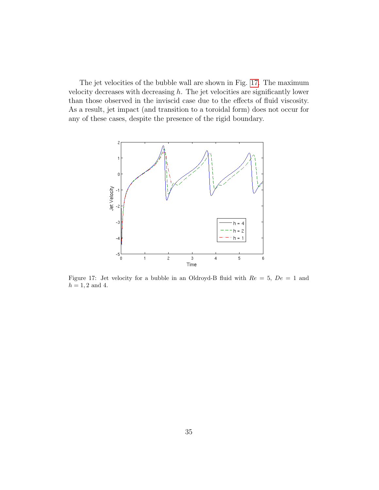The jet velocities of the bubble wall are shown in Fig. [17.](#page-35-0) The maximum velocity decreases with decreasing  $h$ . The jet velocities are significantly lower than those observed in the inviscid case due to the effects of fluid viscosity. As a result, jet impact (and transition to a toroidal form) does not occur for any of these cases, despite the presence of the rigid boundary.

<span id="page-35-0"></span>

Figure 17: Jet velocity for a bubble in an Oldroyd-B fluid with  $Re = 5$ ,  $De = 1$  and  $h = 1, 2$  and 4.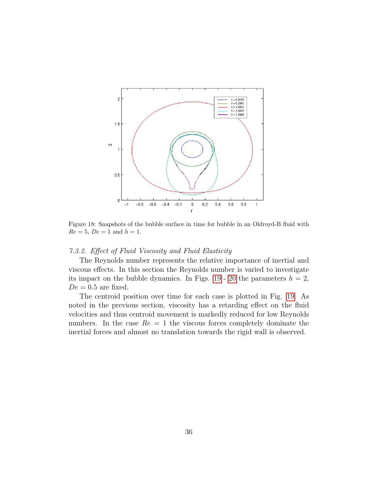

Figure 18: Snapshots of the bubble surface in time for bubble in an Oldroyd-B fluid with  $Re = 5, De = 1$  and  $h = 1$ .

#### 7.3.2. Effect of Fluid Viscosity and Fluid Elasticity

The Reynolds number represents the relative importance of inertial and viscous effects. In this section the Reynolds number is varied to investigate its impact on the bubble dynamics. In Figs. [19](#page-37-0)- [20](#page-38-0) the parameters  $h = 2$ ,  $De = 0.5$  are fixed.

The centroid position over time for each case is plotted in Fig. [19.](#page-37-0) As noted in the previous section, viscosity has a retarding effect on the fluid velocities and thus centroid movement is markedly reduced for low Reynolds numbers. In the case  $Re = 1$  the viscous forces completely dominate the inertial forces and almost no translation towards the rigid wall is observed.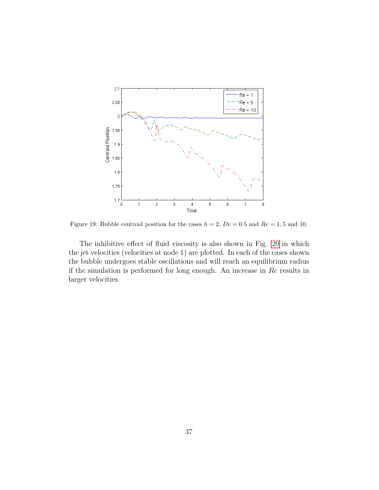<span id="page-37-0"></span>

Figure 19: Bubble centroid position for the cases  $h = 2$ ,  $De = 0.5$  and  $Re = 1, 5$  and 10.

The inhibitive effect of fluid viscosity is also shown in Fig. [20](#page-38-0) in which the jet velocities (velocities at node 1) are plotted. In each of the cases shown the bubble undergoes stable oscillations and will reach an equilibrium radius if the simulation is performed for long enough. An increase in  $Re$  results in larger velocities.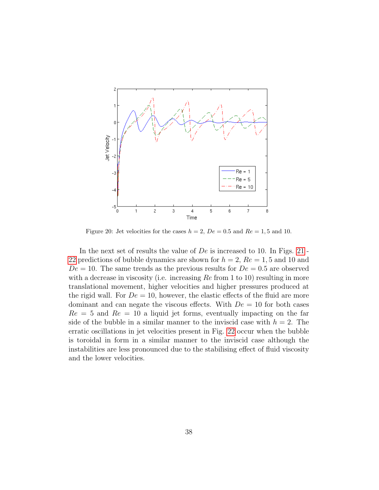<span id="page-38-0"></span>

Figure 20: Jet velocities for the cases  $h = 2$ ,  $De = 0.5$  and  $Re = 1, 5$  and 10.

In the next set of results the value of  $De$  is increased to 10. In Figs. [21](#page-39-0) -[22](#page-39-1) predictions of bubble dynamics are shown for  $h = 2$ ,  $Re = 1, 5$  and 10 and  $De = 10$ . The same trends as the previous results for  $De = 0.5$  are observed with a decrease in viscosity (i.e. increasing  $Re$  from 1 to 10) resulting in more translational movement, higher velocities and higher pressures produced at the rigid wall. For  $De = 10$ , however, the elastic effects of the fluid are more dominant and can negate the viscous effects. With  $De = 10$  for both cases  $Re = 5$  and  $Re = 10$  a liquid jet forms, eventually impacting on the far side of the bubble in a similar manner to the inviscid case with  $h = 2$ . The erratic oscillations in jet velocities present in Fig. [22](#page-39-1) occur when the bubble is toroidal in form in a similar manner to the inviscid case although the instabilities are less pronounced due to the stabilising effect of fluid viscosity and the lower velocities.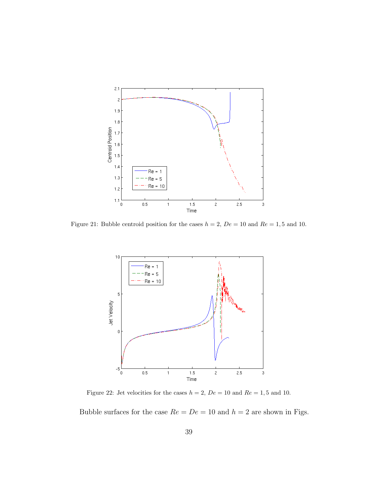<span id="page-39-0"></span>

<span id="page-39-1"></span>Figure 21: Bubble centroid position for the cases  $h = 2$ ,  $De = 10$  and  $Re = 1, 5$  and 10.



Figure 22: Jet velocities for the cases  $h = 2$ ,  $De = 10$  and  $Re = 1, 5$  and 10.

Bubble surfaces for the case  $Re = De = 10$  and  $h = 2$  are shown in Figs.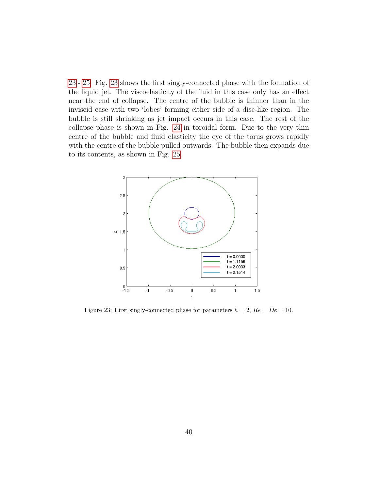[23](#page-40-0)- [25.](#page-41-0) Fig. [23](#page-40-0) shows the first singly-connected phase with the formation of the liquid jet. The viscoelasticity of the fluid in this case only has an effect near the end of collapse. The centre of the bubble is thinner than in the inviscid case with two 'lobes' forming either side of a disc-like region. The bubble is still shrinking as jet impact occurs in this case. The rest of the collapse phase is shown in Fig. [24](#page-41-1) in toroidal form. Due to the very thin centre of the bubble and fluid elasticity the eye of the torus grows rapidly with the centre of the bubble pulled outwards. The bubble then expands due to its contents, as shown in Fig. [25.](#page-41-0)

<span id="page-40-0"></span>

Figure 23: First singly-connected phase for parameters  $h = 2$ ,  $Re = De = 10$ .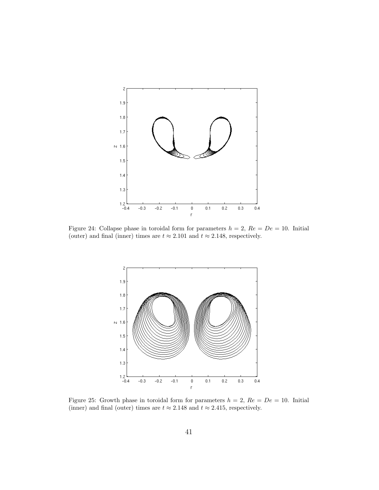<span id="page-41-1"></span>

<span id="page-41-0"></span>Figure 24: Collapse phase in toroidal form for parameters  $h = 2$ ,  $Re = De = 10$ . Initial (outer) and final (inner) times are  $t \approx 2.101$  and  $t \approx 2.148$ , respectively.



Figure 25: Growth phase in toroidal form for parameters  $h = 2$ ,  $Re = De = 10$ . Initial (inner) and final (outer) times are  $t\approx 2.148$  and  $t\approx 2.415,$  respectively.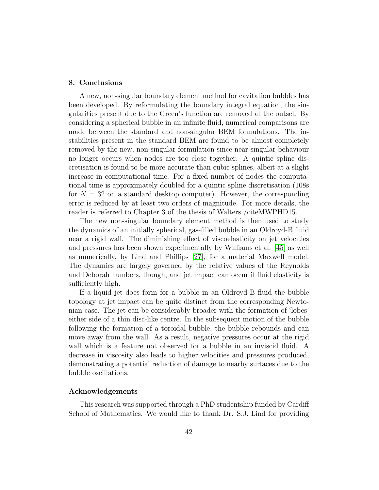#### 8. Conclusions

A new, non-singular boundary element method for cavitation bubbles has been developed. By reformulating the boundary integral equation, the singularities present due to the Green's function are removed at the outset. By considering a spherical bubble in an infinite fluid, numerical comparisons are made between the standard and non-singular BEM formulations. The instabilities present in the standard BEM are found to be almost completely removed by the new, non-singular formulation since near-singular behaviour no longer occurs when nodes are too close together. A quintic spline discretisation is found to be more accurate than cubic splines, albeit at a slight increase in computational time. For a fixed number of nodes the computational time is approximately doubled for a quintic spline discretisation (108s for  $N = 32$  on a standard desktop computer). However, the corresponding error is reduced by at least two orders of magnitude. For more details, the reader is referred to Chapter 3 of the thesis of Walters /citeMWPHD15.

The new non-singular boundary element method is then used to study the dynamics of an initially spherical, gas-filled bubble in an Oldroyd-B fluid near a rigid wall. The diminishing effect of viscoelasticity on jet velocities and pressures has been shown experimentally by Williams et al. [\[45\]](#page-48-3) as well as numerically, by Lind and Phillips [\[27\]](#page-46-4), for a material Maxwell model. The dynamics are largely governed by the relative values of the Reynolds and Deborah numbers, though, and jet impact can occur if fluid elasticity is sufficiently high.

If a liquid jet does form for a bubble in an Oldroyd-B fluid the bubble topology at jet impact can be quite distinct from the corresponding Newtonian case. The jet can be considerably broader with the formation of 'lobes' either side of a thin disc-like centre. In the subsequent motion of the bubble following the formation of a toroidal bubble, the bubble rebounds and can move away from the wall. As a result, negative pressures occur at the rigid wall which is a feature not observed for a bubble in an inviscid fluid. A decrease in viscosity also leads to higher velocities and pressures produced, demonstrating a potential reduction of damage to nearby surfaces due to the bubble oscillations.

#### Acknowledgements

This research was supported through a PhD studentship funded by Cardiff School of Mathematics. We would like to thank Dr. S.J. Lind for providing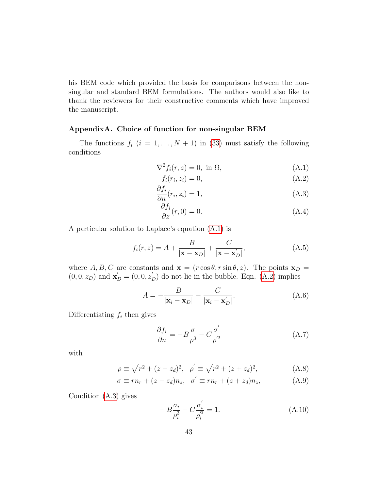his BEM code which provided the basis for comparisons between the nonsingular and standard BEM formulations. The authors would also like to thank the reviewers for their constructive comments which have improved the manuscript.

### AppendixA. Choice of function for non-singular BEM

The functions  $f_i$   $(i = 1, ..., N + 1)$  in [\(33\)](#page-13-2) must satisfy the following conditions

$$
\nabla^2 f_i(r, z) = 0, \text{ in } \Omega,
$$
\n(A.1)

<span id="page-43-2"></span><span id="page-43-1"></span><span id="page-43-0"></span>
$$
f_i(r_i, z_i) = 0,\tag{A.2}
$$

$$
\frac{\partial f_i}{\partial n}(r_i, z_i) = 1,\tag{A.3}
$$

<span id="page-43-3"></span>
$$
\frac{\partial f_i}{\partial z}(r,0) = 0.\tag{A.4}
$$

A particular solution to Laplace's equation [\(A.1\)](#page-43-0) is

<span id="page-43-6"></span>
$$
f_i(r, z) = A + \frac{B}{|\mathbf{x} - \mathbf{x}_D|} + \frac{C}{|\mathbf{x} - \mathbf{x}_D'|},
$$
(A.5)

where A, B, C are constants and  $\mathbf{x} = (r \cos \theta, r \sin \theta, z)$ . The points  $\mathbf{x}_D =$  $(0,0,z_D)$  and  $\mathbf{x}'_D = (0,0,z'_D)$  do not lie in the bubble. Eqn. [\(A.2\)](#page-43-1) implies

<span id="page-43-4"></span>
$$
A = -\frac{B}{|\mathbf{x}_i - \mathbf{x}_D|} - \frac{C}{|\mathbf{x}_i - \mathbf{x}_D'|}.
$$
 (A.6)

Differentiating  $f_i$  then gives

$$
\frac{\partial f_i}{\partial n} = -B\frac{\sigma}{\rho^3} - C\frac{\sigma'}{\rho'^3}
$$
 (A.7)

with

$$
\rho \equiv \sqrt{r^2 + (z - z_d)^2}, \quad \rho' \equiv \sqrt{r^2 + (z + z_d)^2}, \tag{A.8}
$$

$$
\sigma \equiv rn_r + (z - z_d)n_z, \quad \sigma \equiv rn_r + (z + z_d)n_z, \tag{A.9}
$$

Condition [\(A.3\)](#page-43-2) gives

<span id="page-43-5"></span>
$$
- B \frac{\sigma_i}{\rho_i^3} - C \frac{\sigma_i'}{\rho_i'^3} = 1.
$$
 (A.10)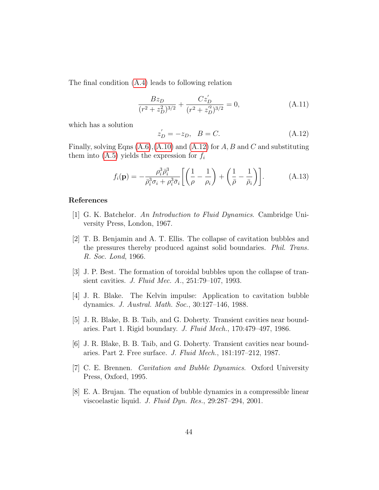The final condition [\(A.4\)](#page-43-3) leads to following relation

$$
\frac{Bz_D}{(r^2 + z_D^2)^{3/2}} + \frac{Cz_D'}{(r^2 + z_D'^2)^{3/2}} = 0,
$$
\n(A.11)

which has a solution

<span id="page-44-8"></span>
$$
z'_{D} = -z_{D}, \quad B = C.
$$
 (A.12)

Finally, solving Eqns  $(A.6)$ ,  $(A.10)$  and  $(A.12)$  for A, B and C and substituting them into  $(A.5)$  yields the expression for  $f_i$ 

$$
f_i(\mathbf{p}) = -\frac{\rho_i^3 \bar{\rho}_i^3}{\bar{\rho}_i^3 \sigma_i + \rho_i^3 \bar{\sigma}_i} \left[ \left( \frac{1}{\rho} - \frac{1}{\rho_i} \right) + \left( \frac{1}{\bar{\rho}} - \frac{1}{\bar{\rho}_i} \right) \right]. \tag{A.13}
$$

#### References

- <span id="page-44-6"></span>[1] G. K. Batchelor. An Introduction to Fluid Dynamics. Cambridge University Press, London, 1967.
- <span id="page-44-0"></span>[2] T. B. Benjamin and A. T. Ellis. The collapse of cavitation bubbles and the pressures thereby produced against solid boundaries. Phil. Trans. R. Soc. Lond, 1966.
- <span id="page-44-4"></span>[3] J. P. Best. The formation of toroidal bubbles upon the collapse of transient cavities. J. Fluid Mec. A., 251:79–107, 1993.
- <span id="page-44-1"></span>[4] J. R. Blake. The Kelvin impulse: Application to cavitation bubble dynamics. J. Austral. Math. Soc., 30:127–146, 1988.
- <span id="page-44-2"></span>[5] J. R. Blake, B. B. Taib, and G. Doherty. Transient cavities near boundaries. Part 1. Rigid boundary. J. Fluid Mech., 170:479–497, 1986.
- <span id="page-44-3"></span>[6] J. R. Blake, B. B. Taib, and G. Doherty. Transient cavities near boundaries. Part 2. Free surface. J. Fluid Mech., 181:197–212, 1987.
- <span id="page-44-5"></span>[7] C. E. Brennen. Cavitation and Bubble Dynamics. Oxford University Press, Oxford, 1995.
- <span id="page-44-7"></span>[8] E. A. Brujan. The equation of bubble dynamics in a compressible linear viscoelastic liquid. J. Fluid Dyn. Res., 29:287–294, 2001.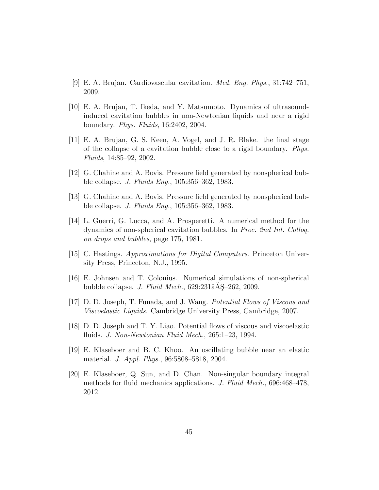- <span id="page-45-0"></span>[9] E. A. Brujan. Cardiovascular cavitation. Med. Eng. Phys., 31:742–751, 2009.
- <span id="page-45-6"></span>[10] E. A. Brujan, T. Ikeda, and Y. Matsumoto. Dynamics of ultrasoundinduced cavitation bubbles in non-Newtonian liquids and near a rigid boundary. Phys. Fluids, 16:2402, 2004.
- <span id="page-45-5"></span>[11] E. A. Brujan, G. S. Keen, A. Vogel, and J. R. Blake. the final stage of the collapse of a cavitation bubble close to a rigid boundary. Phys. Fluids, 14:85–92, 2002.
- <span id="page-45-1"></span>[12] G. Chahine and A. Bovis. Pressure field generated by nonspherical bubble collapse. J. Fluids Eng., 105:356–362, 1983.
- <span id="page-45-7"></span>[13] G. Chahine and A. Bovis. Pressure field generated by nonspherical bubble collapse. J. Fluids Eng., 105:356–362, 1983.
- <span id="page-45-2"></span>[14] L. Guerri, G. Lucca, and A. Prosperetti. A numerical method for the dynamics of non-spherical cavitation bubbles. In Proc. 2nd Int. Colloq. on drops and bubbles, page 175, 1981.
- <span id="page-45-10"></span>[15] C. Hastings. Approximations for Digital Computers. Princeton University Press, Princeton, N.J., 1995.
- <span id="page-45-4"></span>[16] E. Johnsen and T. Colonius. Numerical simulations of non-spherical bubble collapse. J. Fluid Mech.,  $629:231\hat{a}$ Å $S=262$ , 2009.
- <span id="page-45-8"></span>[17] D. D. Joseph, T. Funada, and J. Wang. Potential Flows of Viscous and Viscoelastic Liquids. Cambridge University Press, Cambridge, 2007.
- <span id="page-45-9"></span>[18] D. D. Joseph and T. Y. Liao. Potential flows of viscous and viscoelastic fluids. J. Non-Newtonian Fluid Mech., 265:1–23, 1994.
- <span id="page-45-3"></span>[19] E. Klaseboer and B. C. Khoo. An oscillating bubble near an elastic material. J. Appl. Phys., 96:5808–5818, 2004.
- <span id="page-45-11"></span>[20] E. Klaseboer, Q. Sun, and D. Chan. Non-singular boundary integral methods for fluid mechanics applications. J. Fluid Mech., 696:468–478, 2012.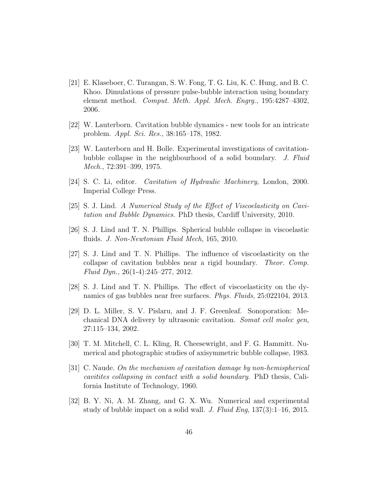- <span id="page-46-6"></span>[21] E. Klaseboer, C. Turangan, S. W. Fong, T. G. Liu, K. C. Hung, and B. C. Khoo. Dimulations of pressure pulse-bubble interaction using boundary element method. Comput. Meth. Appl. Mech. Engrg., 195:4287–4302, 2006.
- <span id="page-46-9"></span>[22] W. Lauterborn. Cavitation bubble dynamics - new tools for an intricate problem. Appl. Sci. Res., 38:165–178, 1982.
- <span id="page-46-2"></span>[23] W. Lauterborn and H. Bolle. Experimental investigations of cavitationbubble collapse in the neighbourhood of a solid boundary. J. Fluid Mech., 72:391–399, 1975.
- <span id="page-46-10"></span>[24] S. C. Li, editor. Cavitation of Hydraulic Machinery, London, 2000. Imperial College Press.
- <span id="page-46-5"></span>[25] S. J. Lind. A Numerical Study of the Effect of Viscoelasticity on Cavitation and Bubble Dynamics. PhD thesis, Cardiff University, 2010.
- <span id="page-46-8"></span>[26] S. J. Lind and T. N. Phillips. Spherical bubble collapse in viscoelastic fluids. J. Non-Newtonian Fluid Mech, 165, 2010.
- <span id="page-46-4"></span>[27] S. J. Lind and T. N. Phillips. The influence of viscoelasticity on the collapse of cavitation bubbles near a rigid boundary. Theor. Comp. Fluid Dyn., 26(1-4):245–277, 2012.
- <span id="page-46-7"></span>[28] S. J. Lind and T. N. Phillips. The effect of viscoelasticity on the dynamics of gas bubbles near free surfaces. Phys. Fluids, 25:022104, 2013.
- <span id="page-46-0"></span>[29] D. L. Miller, S. V. Pislaru, and J. F. Greenleaf. Sonoporation: Mechanical DNA delivery by ultrasonic cavitation. Somat cell molec gen, 27:115–134, 2002.
- <span id="page-46-3"></span>[30] T. M. Mitchell, C. L. Kling, R. Cheesewright, and F. G. Hammitt. Numerical and photographic studies of axisymmetric bubble collapse, 1983.
- <span id="page-46-1"></span>[31] C. Naude. On the mechanism of cavitation damage by non-hemispherical cavitites collapsing in contact with a solid boundary. PhD thesis, California Institute of Technology, 1960.
- <span id="page-46-11"></span>[32] B. Y. Ni, A. M. Zhang, and G. X. Wu. Numerical and experimental study of bubble impact on a solid wall. J. Fluid Eng, 137(3):1–16, 2015.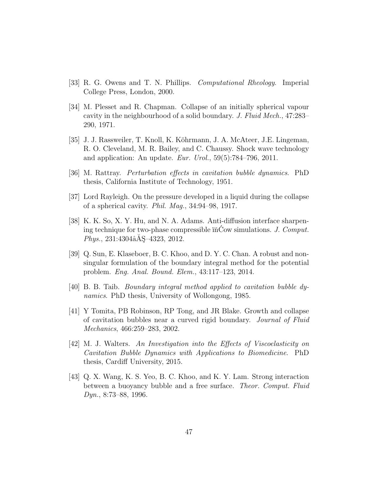- <span id="page-47-9"></span>[33] R. G. Owens and T. N. Phillips. Computational Rheology. Imperial College Press, London, 2000.
- <span id="page-47-3"></span>[34] M. Plesset and R. Chapman. Collapse of an initially spherical vapour cavity in the neighbourhood of a solid boundary. J. Fluid Mech., 47:283– 290, 1971.
- <span id="page-47-0"></span>[35] J. J. Rassweiler, T. Knoll, K. K¨ohrmann, J. A. McAteer, J.E. Lingeman, R. O. Cleveland, M. R. Bailey, and C. Chaussy. Shock wave technology and application: An update. Eur. Urol.,  $59(5)$ :784–796, 2011.
- <span id="page-47-2"></span>[36] M. Rattray. Perturbation effects in cavitation bubble dynamics. PhD thesis, California Institute of Technology, 1951.
- <span id="page-47-1"></span>[37] Lord Rayleigh. On the pressure developed in a liquid during the collapse of a spherical cavity. Phil. Mag., 34:94–98, 1917.
- <span id="page-47-8"></span>[38] K. K. So, X. Y. Hu, and N. A. Adams. Anti-diffusion interface sharpening technique for two-phase compressible  $\tilde{n}$ Cow simulations. J. Comput.  $Phys., 231:4304\aa\AA\&-4323, 2012.$
- <span id="page-47-7"></span>[39] Q. Sun, E. Klaseboer, B. C. Khoo, and D. Y. C. Chan. A robust and nonsingular formulation of the boundary integral method for the potential problem. Eng. Anal. Bound. Elem., 43:117–123, 2014.
- <span id="page-47-10"></span>[40] B. B. Taib. Boundary integral method applied to cavitation bubble dynamics. PhD thesis, University of Wollongong, 1985.
- <span id="page-47-6"></span>[41] Y Tomita, PB Robinson, RP Tong, and JR Blake. Growth and collapse of cavitation bubbles near a curved rigid boundary. Journal of Fluid Mechanics, 466:259–283, 2002.
- <span id="page-47-5"></span>[42] M. J. Walters. An Investigation into the Effects of Viscoelasticity on Cavitation Bubble Dynamics with Applications to Biomedicine. PhD thesis, Cardiff University, 2015.
- <span id="page-47-4"></span>[43] Q. X. Wang, K. S. Yeo, B. C. Khoo, and K. Y. Lam. Strong interaction between a buoyancy bubble and a free surface. Theor. Comput. Fluid Dyn., 8:73–88, 1996.